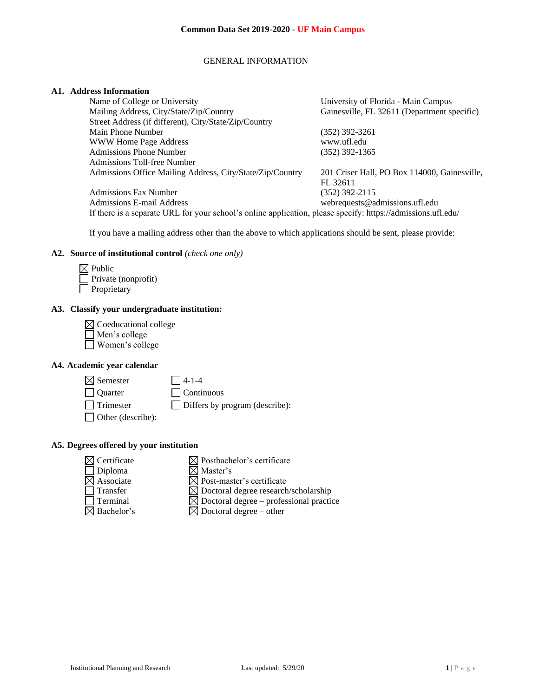## GENERAL INFORMATION

### **A1. Address Information**

| Name of College or University                             | University of Florida - Main Campus          |
|-----------------------------------------------------------|----------------------------------------------|
| Mailing Address, City/State/Zip/Country                   | Gainesville, FL 32611 (Department specific)  |
| Street Address (if different), City/State/Zip/Country     |                                              |
| Main Phone Number                                         | $(352)$ 392-3261                             |
| <b>WWW Home Page Address</b>                              | www.ufl.edu                                  |
| <b>Admissions Phone Number</b>                            | $(352)$ 392-1365                             |
| Admissions Toll-free Number                               |                                              |
| Admissions Office Mailing Address, City/State/Zip/Country | 201 Criser Hall, PO Box 114000, Gainesville, |
|                                                           | FL 32611                                     |
| <b>Admissions Fax Number</b>                              | (352) 392-2115                               |
| Admissions E-mail Address                                 | webrequests@admissions.ufl.edu               |
|                                                           |                                              |

If there is a separate URL for your school's online application, please specify: https://admissions.ufl.edu/

If you have a mailing address other than the above to which applications should be sent, please provide:

## **A2. Source of institutional control** *(check one only)*

| $\boxtimes$ Public  |
|---------------------|
| Private (nonprofit) |
| Proprietary         |

## **A3. Classify your undergraduate institution:**

| $\boxtimes$ Coeducational college |
|-----------------------------------|
| Men's college                     |
| Women's college                   |

## **A4. Academic year calendar**

 $\boxtimes$  Semester  $\Box$  4-1-4

Quarter Continuous

Trimester Differs by program (describe):

Other (describe):

# **A5. Degrees offered by your institution**

| $\boxtimes$ Certificate | $\boxtimes$ Postbachelor's certificate              |
|-------------------------|-----------------------------------------------------|
| $\Box$ Diploma          | $\boxtimes$ Master's                                |
| $\boxtimes$ Associate   | $\boxtimes$ Post-master's certificate               |
| $\Box$ Transfer         | $\boxtimes$ Doctoral degree research/scholarship    |
| <b>Terminal</b>         | $\boxtimes$ Doctoral degree – professional practice |
| $\boxtimes$ Bachelor's  | $\boxtimes$ Doctoral degree – other                 |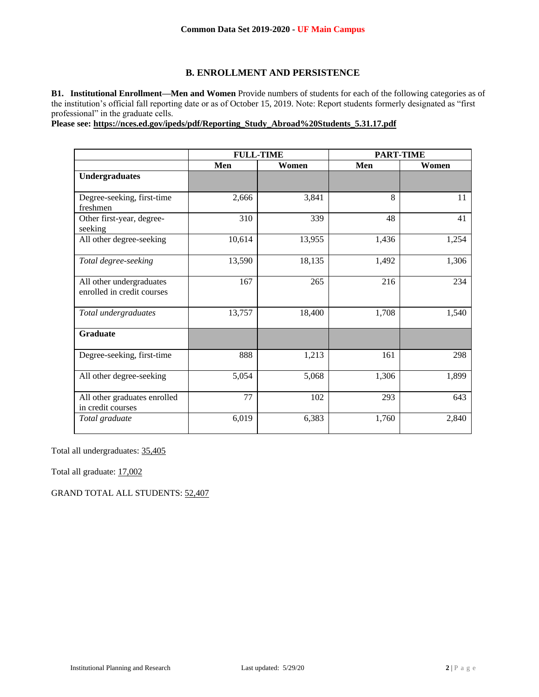# **B. ENROLLMENT AND PERSISTENCE**

**B1. Institutional Enrollment—Men and Women** Provide numbers of students for each of the following categories as of the institution's official fall reporting date or as of October 15, 2019. Note: Report students formerly designated as "first professional" in the graduate cells.

**Please see: [https://nces.ed.gov/ipeds/pdf/Reporting\\_Study\\_Abroad%20Students\\_5.31.17.pdf](https://nces.ed.gov/ipeds/pdf/Reporting_Study_Abroad%20Students_5.31.17.pdf)**

|                                                        | <b>FULL-TIME</b> |        | <b>PART-TIME</b> |       |
|--------------------------------------------------------|------------------|--------|------------------|-------|
|                                                        | Men              | Women  | Men              | Women |
| <b>Undergraduates</b>                                  |                  |        |                  |       |
| Degree-seeking, first-time<br>freshmen                 | 2,666            | 3,841  | 8                | 11    |
| Other first-year, degree-<br>seeking                   | 310              | 339    | 48               | 41    |
| All other degree-seeking                               | 10,614           | 13,955 | 1,436            | 1,254 |
| Total degree-seeking                                   | 13,590           | 18,135 | 1,492            | 1,306 |
| All other undergraduates<br>enrolled in credit courses | 167              | 265    | 216              | 234   |
| Total undergraduates                                   | 13,757           | 18,400 | 1,708            | 1,540 |
| <b>Graduate</b>                                        |                  |        |                  |       |
| Degree-seeking, first-time                             | 888              | 1,213  | 161              | 298   |
| All other degree-seeking                               | 5,054            | 5,068  | 1,306            | 1,899 |
| All other graduates enrolled<br>in credit courses      | 77               | 102    | 293              | 643   |
| Total graduate                                         | 6,019            | 6,383  | 1,760            | 2,840 |

Total all undergraduates: 35,405

Total all graduate: 17,002

GRAND TOTAL ALL STUDENTS: 52,407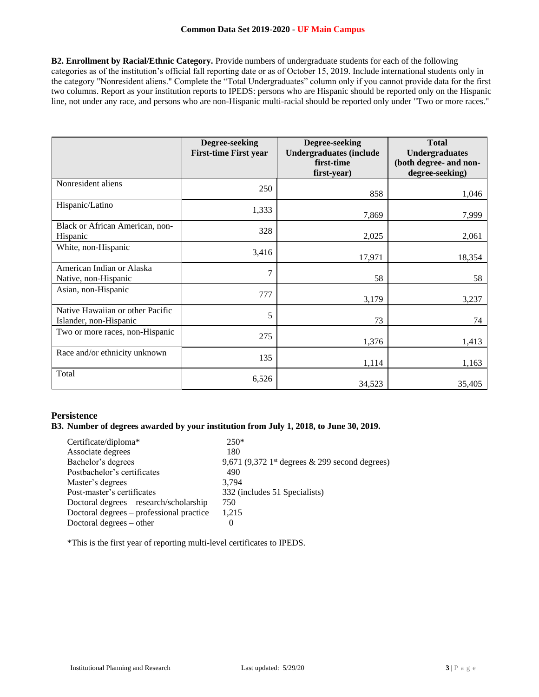**B2. Enrollment by Racial/Ethnic Category.** Provide numbers of undergraduate students for each of the following categories as of the institution's official fall reporting date or as of October 15, 2019. Include international students only in the category "Nonresident aliens." Complete the "Total Undergraduates" column only if you cannot provide data for the first two columns. Report as your institution reports to IPEDS: persons who are Hispanic should be reported only on the Hispanic line, not under any race, and persons who are non-Hispanic multi-racial should be reported only under "Two or more races."

|                                                            | Degree-seeking<br><b>First-time First year</b> | Degree-seeking<br><b>Undergraduates (include</b><br>first-time<br>first-year) | <b>Total</b><br><b>Undergraduates</b><br>(both degree- and non-<br>degree-seeking) |
|------------------------------------------------------------|------------------------------------------------|-------------------------------------------------------------------------------|------------------------------------------------------------------------------------|
| Nonresident aliens                                         | 250                                            | 858                                                                           | 1,046                                                                              |
| Hispanic/Latino                                            | 1,333                                          | 7,869                                                                         | 7,999                                                                              |
| Black or African American, non-<br>Hispanic                | 328                                            | 2,025                                                                         | 2,061                                                                              |
| White, non-Hispanic                                        | 3,416                                          | 17,971                                                                        | 18,354                                                                             |
| American Indian or Alaska<br>Native, non-Hispanic          | $\overline{7}$                                 | 58                                                                            | 58                                                                                 |
| Asian, non-Hispanic                                        | 777                                            | 3,179                                                                         | 3,237                                                                              |
| Native Hawaiian or other Pacific<br>Islander, non-Hispanic | 5                                              | 73                                                                            | 74                                                                                 |
| Two or more races, non-Hispanic                            | 275                                            | 1,376                                                                         | 1,413                                                                              |
| Race and/or ethnicity unknown                              | 135                                            | 1,114                                                                         | 1,163                                                                              |
| Total                                                      | 6,526                                          | 34,523                                                                        | 35,405                                                                             |

# **Persistence**

# **B3. Number of degrees awarded by your institution from July 1, 2018, to June 30, 2019.**

| Certificate/diploma*                     | $250*$                                                        |
|------------------------------------------|---------------------------------------------------------------|
| Associate degrees                        | 180                                                           |
| Bachelor's degrees                       | 9,671 (9,372 1 <sup>st</sup> degrees $\&$ 299 second degrees) |
| Postbachelor's certificates              | 490                                                           |
| Master's degrees                         | 3.794                                                         |
| Post-master's certificates               | 332 (includes 51 Specialists)                                 |
| Doctoral degrees – research/scholarship  | 750                                                           |
| Doctoral degrees – professional practice | 1.215                                                         |
| Doctoral degrees $-$ other               |                                                               |

\*This is the first year of reporting multi-level certificates to IPEDS.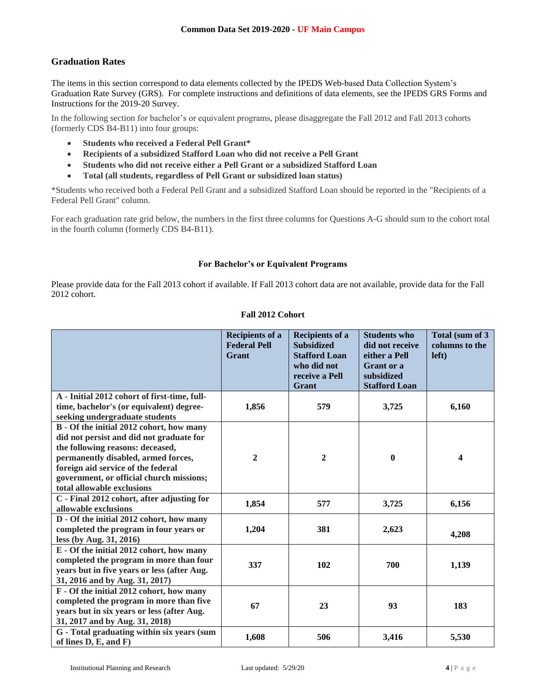# **Graduation Rates**

The items in this section correspond to data elements collected by the IPEDS Web-based Data Collection System's Graduation Rate Survey (GRS). For complete instructions and definitions of data elements, see the IPEDS GRS Forms and Instructions for the 2019-20 Survey.

In the following section for bachelor's or equivalent programs, please disaggregate the Fall 2012 and Fall 2013 cohorts (formerly CDS B4-B11) into four groups:

- **Students who received a Federal Pell Grant\***
- **Recipients of a subsidized Stafford Loan who did not receive a Pell Grant**
- **Students who did not receive either a Pell Grant or a subsidized Stafford Loan**
- **Total (all students, regardless of Pell Grant or subsidized loan status)**

\*Students who received both a Federal Pell Grant and a subsidized Stafford Loan should be reported in the "Recipients of a Federal Pell Grant" column.

For each graduation rate grid below, the numbers in the first three columns for Questions A-G should sum to the cohort total in the fourth column (formerly CDS B4-B11).

## **For Bachelor's or Equivalent Programs**

Please provide data for the Fall 2013 cohort if available. If Fall 2013 cohort data are not available, provide data for the Fall 2012 cohort.

# **Fall 2012 Cohort**

|                                                                      | <b>Recipients of a</b><br><b>Federal Pell</b><br>Grant | <b>Recipients of a</b><br><b>Subsidized</b><br><b>Stafford Loan</b><br>who did not<br>receive a Pell<br>Grant | <b>Students who</b><br>did not receive<br>either a Pell<br>Grant or a<br>subsidized<br><b>Stafford Loan</b> | Total (sum of 3<br>columns to the<br>left) |
|----------------------------------------------------------------------|--------------------------------------------------------|---------------------------------------------------------------------------------------------------------------|-------------------------------------------------------------------------------------------------------------|--------------------------------------------|
| A - Initial 2012 cohort of first-time, full-                         |                                                        |                                                                                                               |                                                                                                             |                                            |
| time, bachelor's (or equivalent) degree-                             | 1,856                                                  | 579                                                                                                           | 3,725                                                                                                       | 6,160                                      |
| seeking undergraduate students                                       |                                                        |                                                                                                               |                                                                                                             |                                            |
| B - Of the initial 2012 cohort, how many                             |                                                        |                                                                                                               |                                                                                                             |                                            |
| did not persist and did not graduate for                             |                                                        |                                                                                                               |                                                                                                             |                                            |
| the following reasons: deceased,                                     |                                                        |                                                                                                               |                                                                                                             |                                            |
| permanently disabled, armed forces,                                  | $\boldsymbol{2}$                                       | $\overline{2}$                                                                                                | $\bf{0}$                                                                                                    | 4                                          |
| foreign aid service of the federal                                   |                                                        |                                                                                                               |                                                                                                             |                                            |
| government, or official church missions;                             |                                                        |                                                                                                               |                                                                                                             |                                            |
| total allowable exclusions                                           |                                                        |                                                                                                               |                                                                                                             |                                            |
| C - Final 2012 cohort, after adjusting for                           | 1,854                                                  | 577                                                                                                           | 3,725                                                                                                       | 6,156                                      |
| allowable exclusions                                                 |                                                        |                                                                                                               |                                                                                                             |                                            |
| D - Of the initial 2012 cohort, how many                             |                                                        |                                                                                                               |                                                                                                             |                                            |
| completed the program in four years or                               | 1,204                                                  | 381                                                                                                           | 2,623                                                                                                       | 4,208                                      |
| less (by Aug. 31, 2016)                                              |                                                        |                                                                                                               |                                                                                                             |                                            |
| E - Of the initial 2012 cohort, how many                             |                                                        |                                                                                                               |                                                                                                             |                                            |
| completed the program in more than four                              | 337                                                    | 102                                                                                                           | 700                                                                                                         | 1,139                                      |
| years but in five years or less (after Aug.                          |                                                        |                                                                                                               |                                                                                                             |                                            |
| 31, 2016 and by Aug. 31, 2017)                                       |                                                        |                                                                                                               |                                                                                                             |                                            |
| F - Of the initial 2012 cohort, how many                             |                                                        |                                                                                                               |                                                                                                             |                                            |
| completed the program in more than five                              | 67                                                     | 23                                                                                                            | 93                                                                                                          | 183                                        |
| years but in six years or less (after Aug.                           |                                                        |                                                                                                               |                                                                                                             |                                            |
| 31, 2017 and by Aug. 31, 2018)                                       |                                                        |                                                                                                               |                                                                                                             |                                            |
| G - Total graduating within six years (sum<br>of lines $D, E, and F$ | 1,608                                                  | 506                                                                                                           | 3,416                                                                                                       | 5,530                                      |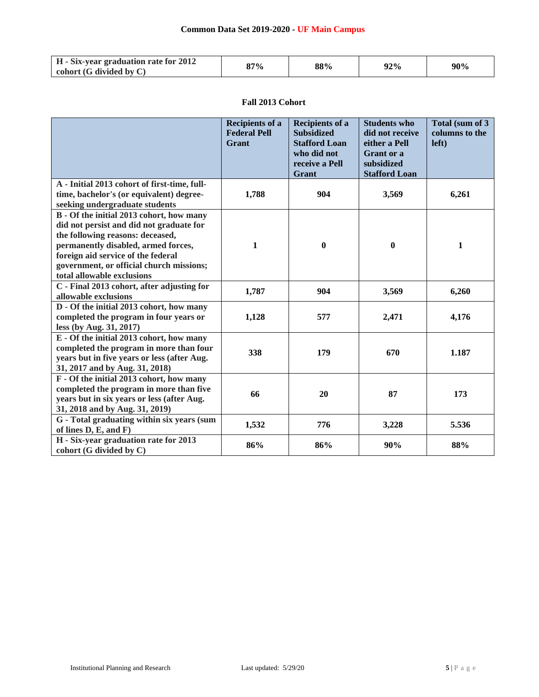| <b>H</b> - Six-year graduation rate for 2012 | 87% | 88% | 92% | 90% |
|----------------------------------------------|-----|-----|-----|-----|
| cohort $(G$ divided by $C$                   |     |     |     |     |

# **Fall 2013 Cohort**

|                                                                                                                                                                                                                                                                                 | <b>Recipients of a</b><br><b>Federal Pell</b><br>Grant | <b>Recipients of a</b><br><b>Subsidized</b><br><b>Stafford Loan</b><br>who did not<br>receive a Pell<br>Grant | <b>Students who</b><br>did not receive<br>either a Pell<br><b>Grant</b> or a<br>subsidized<br><b>Stafford Loan</b> | Total (sum of 3)<br>columns to the<br>left) |
|---------------------------------------------------------------------------------------------------------------------------------------------------------------------------------------------------------------------------------------------------------------------------------|--------------------------------------------------------|---------------------------------------------------------------------------------------------------------------|--------------------------------------------------------------------------------------------------------------------|---------------------------------------------|
| A - Initial 2013 cohort of first-time, full-<br>time, bachelor's (or equivalent) degree-<br>seeking undergraduate students                                                                                                                                                      | 1,788                                                  | 904                                                                                                           | 3,569                                                                                                              | 6,261                                       |
| B - Of the initial 2013 cohort, how many<br>did not persist and did not graduate for<br>the following reasons: deceased,<br>permanently disabled, armed forces,<br>foreign aid service of the federal<br>government, or official church missions;<br>total allowable exclusions | 1                                                      | $\bf{0}$                                                                                                      | $\bf{0}$                                                                                                           | 1                                           |
| C - Final 2013 cohort, after adjusting for<br>allowable exclusions                                                                                                                                                                                                              | 1,787                                                  | 904                                                                                                           | 3,569                                                                                                              | 6,260                                       |
| D - Of the initial 2013 cohort, how many<br>completed the program in four years or<br>less (by Aug. 31, 2017)                                                                                                                                                                   | 1,128                                                  | 577                                                                                                           | 2,471                                                                                                              | 4,176                                       |
| E - Of the initial 2013 cohort, how many<br>completed the program in more than four<br>years but in five years or less (after Aug.<br>31, 2017 and by Aug. 31, 2018)                                                                                                            | 338                                                    | 179                                                                                                           | 670                                                                                                                | 1.187                                       |
| F - Of the initial 2013 cohort, how many<br>completed the program in more than five<br>years but in six years or less (after Aug.<br>31, 2018 and by Aug. 31, 2019)                                                                                                             | 66                                                     | 20                                                                                                            | 87                                                                                                                 | 173                                         |
| G - Total graduating within six years (sum<br>of lines D, E, and F)                                                                                                                                                                                                             | 1,532                                                  | 776                                                                                                           | 3,228                                                                                                              | 5.536                                       |
| H - Six-year graduation rate for 2013<br>cohort (G divided by C)                                                                                                                                                                                                                | 86%                                                    | 86%                                                                                                           | 90%                                                                                                                | 88%                                         |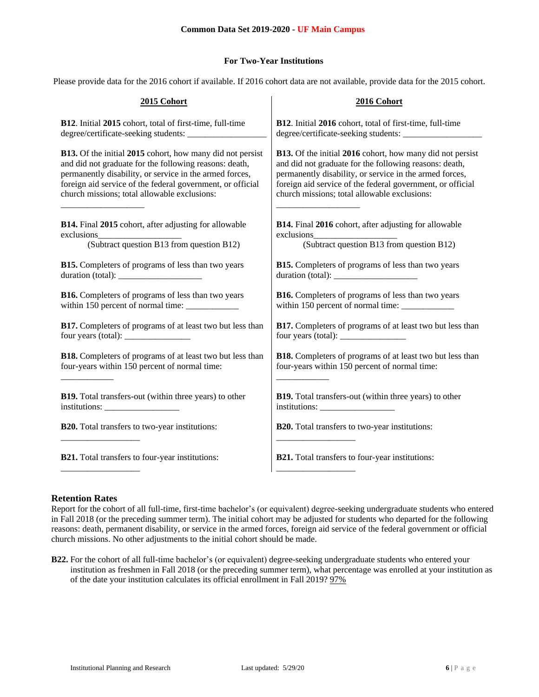# **For Two-Year Institutions**

Please provide data for the 2016 cohort if available. If 2016 cohort data are not available, provide data for the 2015 cohort.

| 2015 Cohort                                                      | 2016 Cohort                                                      |
|------------------------------------------------------------------|------------------------------------------------------------------|
| B12. Initial 2015 cohort, total of first-time, full-time         | B12. Initial 2016 cohort, total of first-time, full-time         |
|                                                                  |                                                                  |
| <b>B13.</b> Of the initial 2015 cohort, how many did not persist | B13. Of the initial 2016 cohort, how many did not persist        |
| and did not graduate for the following reasons: death,           | and did not graduate for the following reasons: death,           |
| permanently disability, or service in the armed forces,          | permanently disability, or service in the armed forces,          |
| foreign aid service of the federal government, or official       | foreign aid service of the federal government, or official       |
| church missions; total allowable exclusions:                     | church missions; total allowable exclusions:                     |
| B14. Final 2015 cohort, after adjusting for allowable            | B14. Final 2016 cohort, after adjusting for allowable            |
| exclusions                                                       | exclusions                                                       |
| ons<br>(Subtract question B13 from question B12)                 | (Subtract question B13 from question B12)                        |
| <b>B15.</b> Completers of programs of less than two years        | B15. Completers of programs of less than two years               |
|                                                                  |                                                                  |
| <b>B16.</b> Completers of programs of less than two years        | <b>B16.</b> Completers of programs of less than two years        |
|                                                                  | within 150 percent of normal time: ____________                  |
| B17. Completers of programs of at least two but less than        | B17. Completers of programs of at least two but less than        |
|                                                                  |                                                                  |
| <b>B18.</b> Completers of programs of at least two but less than | <b>B18.</b> Completers of programs of at least two but less than |
| four-years within 150 percent of normal time:                    | four-years within 150 percent of normal time:                    |
| <b>B19.</b> Total transfers-out (within three years) to other    | B19. Total transfers-out (within three years) to other           |
|                                                                  | $institutions: \_$                                               |
| B20. Total transfers to two-year institutions:                   | B20. Total transfers to two-year institutions:                   |
| <b>B21.</b> Total transfers to four-year institutions:           | <b>B21.</b> Total transfers to four-year institutions:           |

# **Retention Rates**

Report for the cohort of all full-time, first-time bachelor's (or equivalent) degree-seeking undergraduate students who entered in Fall 2018 (or the preceding summer term). The initial cohort may be adjusted for students who departed for the following reasons: death, permanent disability, or service in the armed forces, foreign aid service of the federal government or official church missions. No other adjustments to the initial cohort should be made.

**B22.** For the cohort of all full-time bachelor's (or equivalent) degree-seeking undergraduate students who entered your institution as freshmen in Fall 2018 (or the preceding summer term), what percentage was enrolled at your institution as of the date your institution calculates its official enrollment in Fall 2019? 97%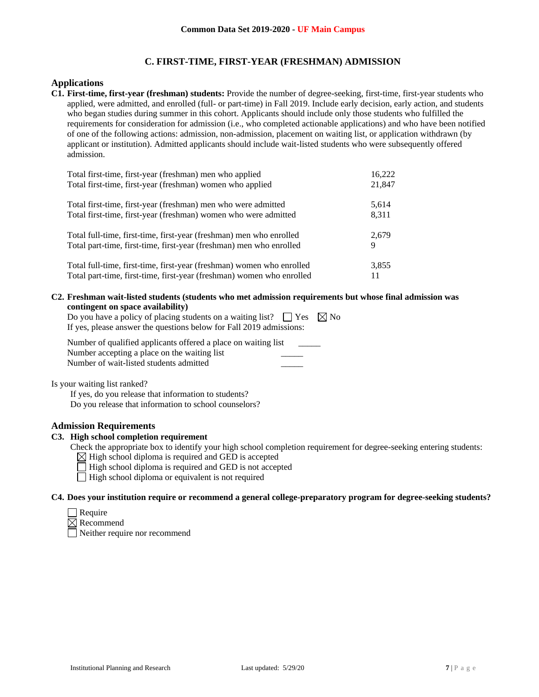# **C. FIRST-TIME, FIRST-YEAR (FRESHMAN) ADMISSION**

## **Applications**

**C1. First-time, first-year (freshman) students:** Provide the number of degree-seeking, first-time, first-year students who applied, were admitted, and enrolled (full- or part-time) in Fall 2019. Include early decision, early action, and students who began studies during summer in this cohort. Applicants should include only those students who fulfilled the requirements for consideration for admission (i.e., who completed actionable applications) and who have been notified of one of the following actions: admission, non-admission, placement on waiting list, or application withdrawn (by applicant or institution). Admitted applicants should include wait-listed students who were subsequently offered admission.

| Total first-time, first-year (freshman) men who applied               | 16,222 |
|-----------------------------------------------------------------------|--------|
| Total first-time, first-year (freshman) women who applied             | 21,847 |
| Total first-time, first-year (freshman) men who were admitted         | 5,614  |
| Total first-time, first-year (freshman) women who were admitted       | 8,311  |
| Total full-time, first-time, first-year (freshman) men who enrolled   | 2,679  |
| Total part-time, first-time, first-year (freshman) men who enrolled   | 9      |
| Total full-time, first-time, first-year (freshman) women who enrolled | 3,855  |
| Total part-time, first-time, first-year (freshman) women who enrolled | 11     |

**C2. Freshman wait-listed students (students who met admission requirements but whose final admission was contingent on space availability)**

| Do you have a policy of placing students on a waiting list? $\Box$ Yes $\boxtimes$ No |  |
|---------------------------------------------------------------------------------------|--|
| If yes, please answer the questions below for Fall 2019 admissions:                   |  |

| Number of qualified applicants offered a place on waiting list |  |
|----------------------------------------------------------------|--|
| Number accepting a place on the waiting list                   |  |
| Number of wait-listed students admitted                        |  |

Is your waiting list ranked?

If yes, do you release that information to students? Do you release that information to school counselors?

## **Admission Requirements**

## **C3. High school completion requirement**

- Check the appropriate box to identify your high school completion requirement for degree-seeking entering students:
	- $\boxtimes$  High school diploma is required and GED is accepted
	- $\Box$  High school diploma is required and GED is not accepted
	- $\Box$  High school diploma or equivalent is not required

#### **C4. Does your institution require or recommend a general college-preparatory program for degree-seeking students?**

| eann<br>г |  |
|-----------|--|
|-----------|--|

 $\boxtimes$  Recommend

Neither require nor recommend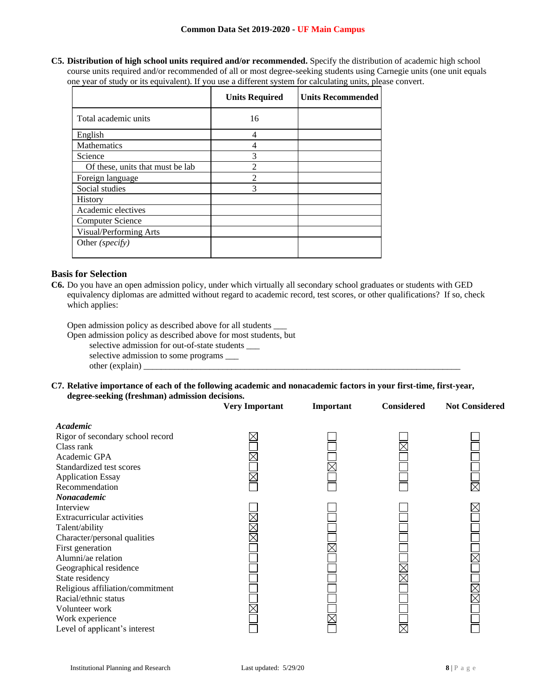**C5. Distribution of high school units required and/or recommended.** Specify the distribution of academic high school course units required and/or recommended of all or most degree-seeking students using Carnegie units (one unit equals one year of study or its equivalent). If you use a different system for calculating units, please convert.

|                                  | <b>Units Required</b> | <b>Units Recommended</b> |
|----------------------------------|-----------------------|--------------------------|
| Total academic units             | 16                    |                          |
| English                          | 4                     |                          |
| <b>Mathematics</b>               | 4                     |                          |
| Science                          | 3                     |                          |
| Of these, units that must be lab | $\mathfrak{D}$        |                          |
| Foreign language                 | $\mathfrak{D}$        |                          |
| Social studies                   | 3                     |                          |
| History                          |                       |                          |
| Academic electives               |                       |                          |
| <b>Computer Science</b>          |                       |                          |
| Visual/Performing Arts           |                       |                          |
| Other (specify)                  |                       |                          |

# **Basis for Selection**

**C6.** Do you have an open admission policy, under which virtually all secondary school graduates or students with GED equivalency diplomas are admitted without regard to academic record, test scores, or other qualifications? If so, check which applies:

Open admission policy as described above for all students \_\_\_

Open admission policy as described above for most students, but

selective admission for out-of-state students \_\_\_

selective admission to some programs \_\_\_ other (explain)

**C7. Relative importance of each of the following academic and nonacademic factors in your first-time, first-year, degree-seeking (freshman) admission decisions.**

|                                  | <b>Very Important</b> | Important | <b>Considered</b> | <b>Not Considered</b> |
|----------------------------------|-----------------------|-----------|-------------------|-----------------------|
| Academic                         |                       |           |                   |                       |
| Rigor of secondary school record |                       |           |                   |                       |
| Class rank                       |                       |           |                   |                       |
| Academic GPA                     |                       |           |                   |                       |
| Standardized test scores         |                       |           |                   |                       |
| <b>Application Essay</b>         |                       |           |                   |                       |
| Recommendation                   |                       |           |                   |                       |
| Nonacademic                      |                       |           |                   |                       |
| Interview                        |                       |           |                   |                       |
| Extracurricular activities       |                       |           |                   |                       |
| Talent/ability                   |                       |           |                   |                       |
| Character/personal qualities     |                       |           |                   |                       |
| First generation                 |                       |           |                   |                       |
| Alumni/ae relation               |                       |           |                   |                       |
| Geographical residence           |                       |           |                   |                       |
| State residency                  |                       |           |                   |                       |
| Religious affiliation/commitment |                       |           |                   |                       |
| Racial/ethnic status             |                       |           |                   |                       |
| Volunteer work                   |                       |           |                   |                       |
| Work experience                  |                       |           |                   |                       |
| Level of applicant's interest    |                       |           |                   |                       |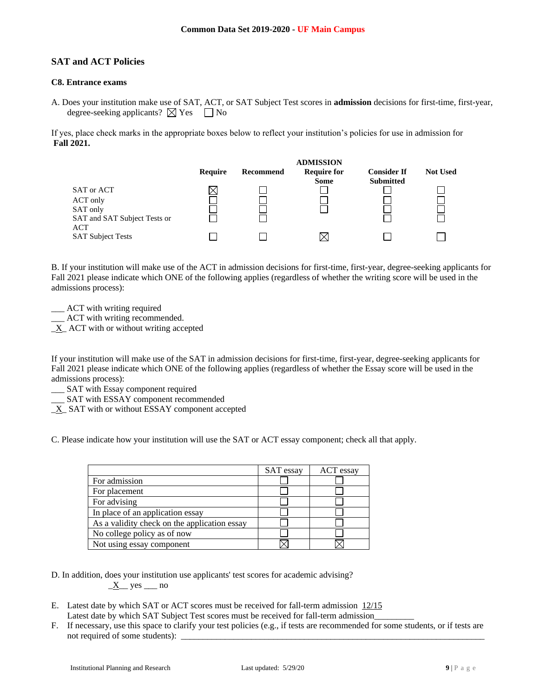# **SAT and ACT Policies**

# **C8. Entrance exams**

A. Does your institution make use of SAT, ACT, or SAT Subject Test scores in **admission** decisions for first-time, first-year, degree-seeking applicants?  $\boxtimes$  Yes  $\Box$  No

If yes, place check marks in the appropriate boxes below to reflect your institution's policies for use in admission for **Fall 2021.**

|                                                             | <b>ADMISSION</b> |           |                                   |                                        |                 |
|-------------------------------------------------------------|------------------|-----------|-----------------------------------|----------------------------------------|-----------------|
|                                                             | Require          | Recommend | <b>Require for</b><br><b>Some</b> | <b>Consider If</b><br><b>Submitted</b> | <b>Not Used</b> |
| SAT or ACT                                                  |                  |           |                                   |                                        |                 |
| ACT only<br>SAT only<br>SAT and SAT Subject Tests or<br>ACT |                  |           |                                   |                                        |                 |
| <b>SAT Subject Tests</b>                                    |                  |           | X                                 |                                        |                 |

B. If your institution will make use of the ACT in admission decisions for first-time, first-year, degree-seeking applicants for Fall 2021 please indicate which ONE of the following applies (regardless of whether the writing score will be used in the admissions process):

\_\_\_ ACT with writing required

\_\_\_ ACT with writing recommended.

 $X$  ACT with or without writing accepted

If your institution will make use of the SAT in admission decisions for first-time, first-year, degree-seeking applicants for Fall 2021 please indicate which ONE of the following applies (regardless of whether the Essay score will be used in the admissions process):

\_\_\_ SAT with Essay component required

SAT with ESSAY component recommended

 $X$  SAT with or without ESSAY component accepted

C. Please indicate how your institution will use the SAT or ACT essay component; check all that apply.

|                                              | SAT essay | ACT essay |
|----------------------------------------------|-----------|-----------|
| For admission                                |           |           |
| For placement                                |           |           |
| For advising                                 |           |           |
| In place of an application essay             |           |           |
| As a validity check on the application essay |           |           |
| No college policy as of now                  |           |           |
| Not using essay component                    |           |           |

D. In addition, does your institution use applicants' test scores for academic advising?  $\underline{X}$  yes  $\underline{\hspace{1cm}}$  no

- E. Latest date by which SAT or ACT scores must be received for fall-term admission 12/15 Latest date by which SAT Subject Test scores must be received for fall-term admission\_
- F. If necessary, use this space to clarify your test policies (e.g., if tests are recommended for some students, or if tests are not required of some students):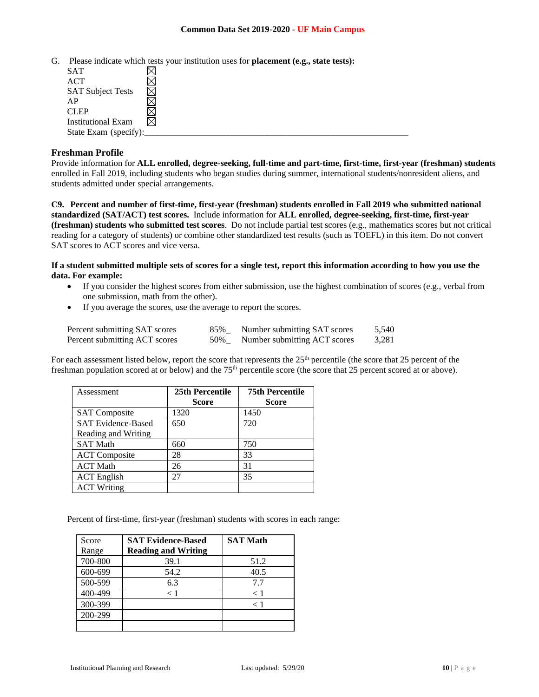G. Please indicate which tests your institution uses for **placement (e.g., state tests):**

| <b>SAT</b>                |  |
|---------------------------|--|
| ACT                       |  |
| <b>SAT Subject Tests</b>  |  |
| AP                        |  |
| <b>CLEP</b>               |  |
| <b>Institutional Exam</b> |  |
| State Exam (specify):     |  |

### **Freshman Profile**

Provide information for **ALL enrolled, degree-seeking, full-time and part-time, first-time, first-year (freshman) students**  enrolled in Fall 2019, including students who began studies during summer, international students/nonresident aliens, and students admitted under special arrangements.

**C9. Percent and number of first-time, first-year (freshman) students enrolled in Fall 2019 who submitted national standardized (SAT/ACT) test scores.** Include information for **ALL enrolled, degree-seeking, first-time, first-year (freshman) students who submitted test scores**. Do not include partial test scores (e.g., mathematics scores but not critical reading for a category of students) or combine other standardized test results (such as TOEFL) in this item. Do not convert SAT scores to ACT scores and vice versa.

**If a student submitted multiple sets of scores for a single test, report this information according to how you use the data. For example:** 

- If you consider the highest scores from either submission, use the highest combination of scores (e.g., verbal from one submission, math from the other).
- If you average the scores, use the average to report the scores.

| Percent submitting SAT scores | 85% | Number submitting SAT scores | 5,540 |
|-------------------------------|-----|------------------------------|-------|
| Percent submitting ACT scores | 50% | Number submitting ACT scores | 3,281 |

For each assessment listed below, report the score that represents the 25<sup>th</sup> percentile (the score that 25 percent of the freshman population scored at or below) and the 75th percentile score (the score that 25 percent scored at or above).

| Assessment                | 25th Percentile | <b>75th Percentile</b> |
|---------------------------|-----------------|------------------------|
|                           | <b>Score</b>    | <b>Score</b>           |
| <b>SAT</b> Composite      | 1320            | 1450                   |
| <b>SAT Evidence-Based</b> | 650             | 720                    |
| Reading and Writing       |                 |                        |
| <b>SAT Math</b>           | 660             | 750                    |
| <b>ACT</b> Composite      | 28              | 33                     |
| <b>ACT Math</b>           | 26              | 31                     |
| <b>ACT</b> English        | 27              | 35                     |
| <b>ACT Writing</b>        |                 |                        |

Percent of first-time, first-year (freshman) students with scores in each range:

| Score   | <b>SAT Evidence-Based</b>  | <b>SAT Math</b> |
|---------|----------------------------|-----------------|
| Range   | <b>Reading and Writing</b> |                 |
| 700-800 | 39.1                       | 51.2            |
| 600-699 | 54.2                       | 40.5            |
| 500-599 | 6.3                        | 7.7             |
| 400-499 | < 1                        | $\lt 1$         |
| 300-399 |                            | < 1             |
| 200-299 |                            |                 |
|         |                            |                 |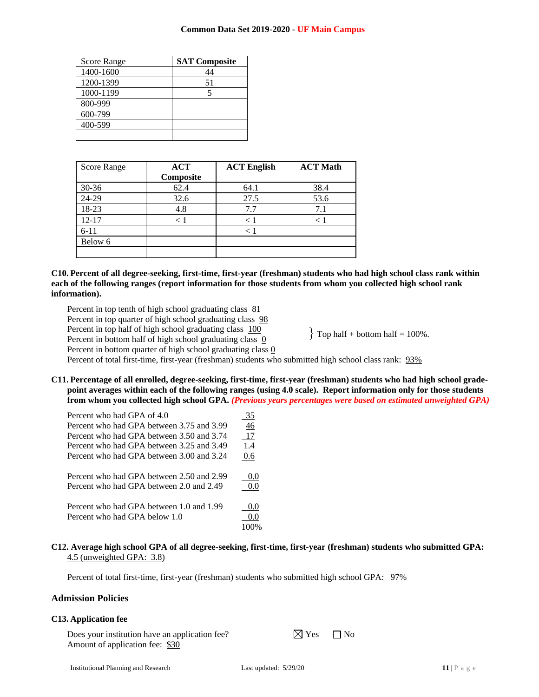| <b>Score Range</b> | <b>SAT Composite</b> |
|--------------------|----------------------|
| 1400-1600          | 44                   |
| 1200-1399          | 51                   |
| 1000-1199          | 5                    |
| 800-999            |                      |
| 600-799            |                      |
| 400-599            |                      |
|                    |                      |

| <b>Score Range</b> | <b>ACT</b><br>Composite | <b>ACT English</b> | <b>ACT Math</b> |
|--------------------|-------------------------|--------------------|-----------------|
| $30 - 36$          | 62.4                    | 64.1               | 38.4            |
| 24-29              | 32.6                    | 27.5               | 53.6            |
| 18-23              | 4.8                     | 7.7                | 7.1             |
| $12 - 17$          | < 1                     | < 1                | < 1             |
| $6 - 11$           |                         | $\lt 1$            |                 |
| Below 6            |                         |                    |                 |
|                    |                         |                    |                 |

## **C10. Percent of all degree-seeking, first-time, first-year (freshman) students who had high school class rank within each of the following ranges (report information for those students from whom you collected high school rank information).**

Percent in top tenth of high school graduating class  $81$ Percent in top quarter of high school graduating class  $98$ 

Percent in top half of high school graduating class  $100$ 

Percent in bottom half of high school graduating class 0

 $\{$  Top half + bottom half = 100%.

Percent in bottom quarter of high school graduating class 0

Percent of total first-time, first-year (freshman) students who submitted high school class rank: 93%

**C11. Percentage of all enrolled, degree-seeking, first-time, first-year (freshman) students who had high school gradepoint averages within each of the following ranges (using 4.0 scale). Report information only for those students from whom you collected high school GPA.** *(Previous years percentages were based on estimated unweighted GPA)*

| Percent who had GPA of 4.0                | 35         |
|-------------------------------------------|------------|
| Percent who had GPA between 3.75 and 3.99 | 46         |
| Percent who had GPA between 3.50 and 3.74 | <u>17</u>  |
| Percent who had GPA between 3.25 and 3.49 | <u>1.4</u> |
| Percent who had GPA between 3.00 and 3.24 | 0.6        |
| Percent who had GPA between 2.50 and 2.99 | 0.0        |
| Percent who had GPA between 2.0 and 2.49  | 0.0        |
| Percent who had GPA between 1.0 and 1.99  | 0.0        |
| Percent who had GPA below 1.0             | 0.0        |
|                                           | 100%       |

# **C12. Average high school GPA of all degree-seeking, first-time, first-year (freshman) students who submitted GPA:** 4.5 (unweighted GPA: 3.8)

Percent of total first-time, first-year (freshman) students who submitted high school GPA: 97%

# **Admission Policies**

# **C13. Application fee**

Does your institution have an application fee?  $\boxtimes$  Yes  $\Box$  No Amount of application fee: \$30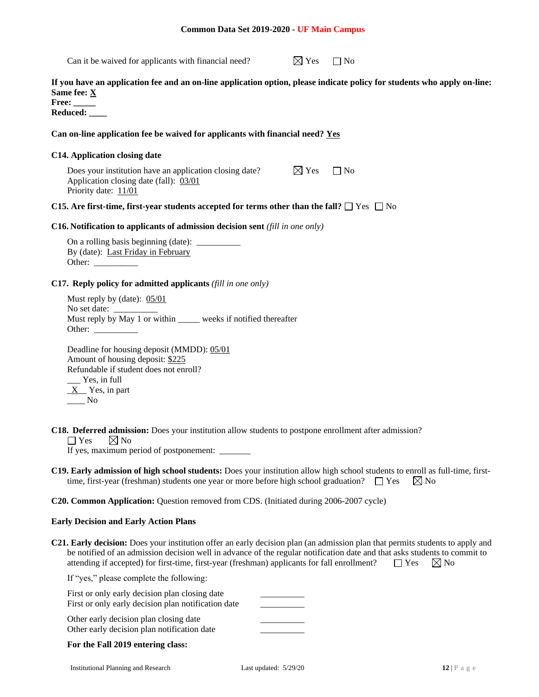Can it be waived for applicants with financial need?  $\boxtimes$  Yes  $\Box$  No

**If you have an application fee and an on-line application option, please indicate policy for students who apply on-line: Same fee: X**

**Free: \_\_\_\_\_ Reduced: \_\_\_\_**

# **Can on-line application fee be waived for applicants with financial need? Yes**

### **C14. Application closing date**

Does your institution have an application closing date?  $\boxtimes$  Yes  $\Box$  No Application closing date (fall): 03/01 Priority date: 11/01

### **C15.** Are first-time, first-year students accepted for terms other than the fall?  $\Box$  Yes  $\Box$  No

#### **C16. Notification to applicants of admission decision sent** *(fill in one only)*

On a rolling basis beginning (date):  $\overline{\phantom{a}}$ By (date): Last Friday in February Other:

#### **C17. Reply policy for admitted applicants** *(fill in one only)*

Must reply by (date): 05/01 No set date: Must reply by May 1 or within \_\_\_\_\_ weeks if notified thereafter Other:

Deadline for housing deposit (MMDD): 05/01 Amount of housing deposit: \$225 Refundable if student does not enroll?  $\equiv$  Yes, in full  $X$  Yes, in part  $\_\_$  No

- **C18. Deferred admission:** Does your institution allow students to postpone enrollment after admission?
	- $\Box$  Yes  $\Box$  No

If yes, maximum period of postponement: \_\_\_\_\_\_\_

**C19. Early admission of high school students:** Does your institution allow high school students to enroll as full-time, firsttime, first-year (freshman) students one year or more before high school graduation?  $\Box$  Yes  $\boxtimes$  No

### **C20. Common Application:** Question removed from CDS. (Initiated during 2006-2007 cycle)

#### **Early Decision and Early Action Plans**

**C21. Early decision:** Does your institution offer an early decision plan (an admission plan that permits students to apply and be notified of an admission decision well in advance of the regular notification date and that asks students to commit to attending if accepted) for first-time, first-year (freshman) applicants for fall enrollment?  $\Box$  Yes  $\Box$  No

If "yes," please complete the following:

| First or only early decision plan notification date |  |
|-----------------------------------------------------|--|
| Other early decision plan closing date              |  |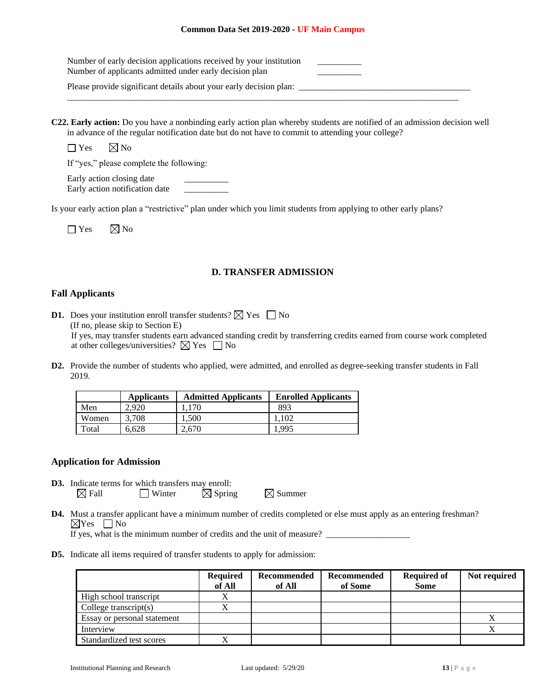| Number of early decision applications received by your institution<br>Number of applicants admitted under early decision plan |  |
|-------------------------------------------------------------------------------------------------------------------------------|--|
| Please provide significant details about your early decision plan:                                                            |  |

**C22. Early action:** Do you have a nonbinding early action plan whereby students are notified of an admission decision well in advance of the regular notification date but do not have to commit to attending your college?

 $\Box$  Yes  $\boxtimes$  No

If "yes," please complete the following:

Early action closing date Early action notification date

Is your early action plan a "restrictive" plan under which you limit students from applying to other early plans?

| $\Box$ Yes | $\boxtimes$ No |
|------------|----------------|
|------------|----------------|

# **D. TRANSFER ADMISSION**

# **Fall Applicants**

**D1.** Does your institution enroll transfer students?  $\boxtimes$  Yes  $\Box$  No (If no, please skip to Section E)

If yes, may transfer students earn advanced standing credit by transferring credits earned from course work completed at other colleges/universities?  $\boxtimes$  Yes  $\Box$  No

**D2.** Provide the number of students who applied, were admitted, and enrolled as degree-seeking transfer students in Fall 2019.

|       | <b>Applicants</b> | <b>Admitted Applicants</b> | <b>Enrolled Applicants</b> |
|-------|-------------------|----------------------------|----------------------------|
| Men   | 2.920             | 1.170                      | 893                        |
| Women | 3.708             | 1.500                      | 1.102                      |
| Total | 6,628             | 2,670                      | 1.995                      |

# **Application for Admission**

- **D3.** Indicate terms for which transfers may enroll:  $\boxtimes$  Fall  $\Box$  Winter  $\boxtimes$  Spring  $\boxtimes$  Summer
- **D4.** Must a transfer applicant have a minimum number of credits completed or else must apply as an entering freshman?  $\boxtimes$ Yes  $\Box$ No

If yes, what is the minimum number of credits and the unit of measure?

**D5.** Indicate all items required of transfer students to apply for admission:

|                             | <b>Required</b><br>of All | <b>Recommended</b><br>of All | <b>Recommended</b><br>of Some | <b>Required of</b><br><b>Some</b> | Not required |
|-----------------------------|---------------------------|------------------------------|-------------------------------|-----------------------------------|--------------|
| High school transcript      |                           |                              |                               |                                   |              |
| College transcript $(s)$    |                           |                              |                               |                                   |              |
| Essay or personal statement |                           |                              |                               |                                   |              |
| Interview                   |                           |                              |                               |                                   |              |
| Standardized test scores    |                           |                              |                               |                                   |              |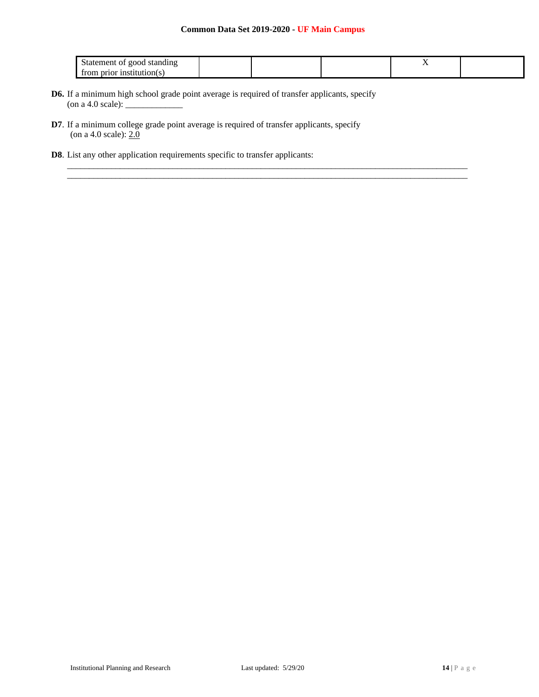\_\_\_\_\_\_\_\_\_\_\_\_\_\_\_\_\_\_\_\_\_\_\_\_\_\_\_\_\_\_\_\_\_\_\_\_\_\_\_\_\_\_\_\_\_\_\_\_\_\_\_\_\_\_\_\_\_\_\_\_\_\_\_\_\_\_\_\_\_\_\_\_\_\_\_\_\_\_\_\_\_\_\_\_\_\_\_\_\_\_\_  $\_$  . The contribution of the contribution of the contribution of the contribution of the contribution of the contribution of the contribution of the contribution of the contribution of the contribution of the contributio

| standing<br>good<br>Statement of |  | . . |  |
|----------------------------------|--|-----|--|
| . prior institution(s<br>trom    |  |     |  |

- **D6.** If a minimum high school grade point average is required of transfer applicants, specify  $($ on a 4.0 scale $):$   $\overline{\phantom{a}}$
- **D7**. If a minimum college grade point average is required of transfer applicants, specify (on a 4.0 scale):  $2.0$
- **D8**. List any other application requirements specific to transfer applicants: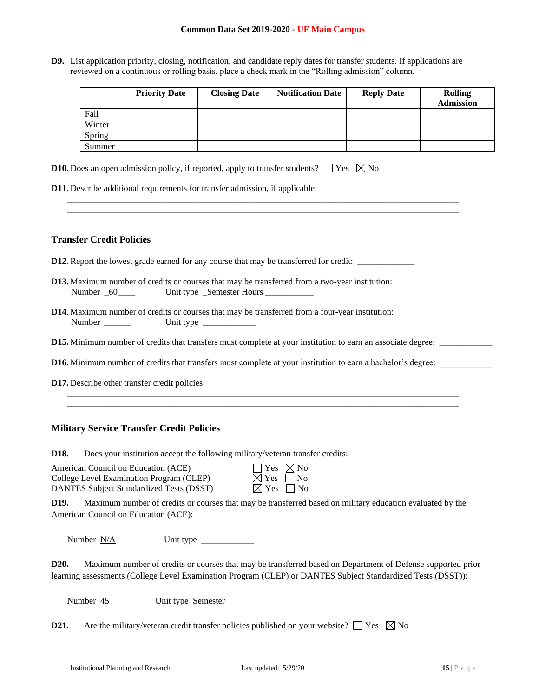**D9.** List application priority, closing, notification, and candidate reply dates for transfer students. If applications are reviewed on a continuous or rolling basis, place a check mark in the "Rolling admission" column.

\_\_\_\_\_\_\_\_\_\_\_\_\_\_\_\_\_\_\_\_\_\_\_\_\_\_\_\_\_\_\_\_\_\_\_\_\_\_\_\_\_\_\_\_\_\_\_\_\_\_\_\_\_\_\_\_\_\_\_\_\_\_\_\_\_\_\_\_\_\_\_\_\_\_\_\_\_\_\_\_\_\_\_\_\_\_\_\_\_ \_\_\_\_\_\_\_\_\_\_\_\_\_\_\_\_\_\_\_\_\_\_\_\_\_\_\_\_\_\_\_\_\_\_\_\_\_\_\_\_\_\_\_\_\_\_\_\_\_\_\_\_\_\_\_\_\_\_\_\_\_\_\_\_\_\_\_\_\_\_\_\_\_\_\_\_\_\_\_\_\_\_\_\_\_\_\_\_\_

|        | <b>Priority Date</b> | <b>Closing Date</b> | <b>Notification Date</b> | <b>Reply Date</b> | <b>Rolling</b><br><b>Admission</b> |
|--------|----------------------|---------------------|--------------------------|-------------------|------------------------------------|
| Fall   |                      |                     |                          |                   |                                    |
| Winter |                      |                     |                          |                   |                                    |
| Spring |                      |                     |                          |                   |                                    |
| Summer |                      |                     |                          |                   |                                    |

| <b>D10.</b> Does an open admission policy, if reported, apply to transfer students? $\Box$ Yes $\boxtimes$ No |  |
|---------------------------------------------------------------------------------------------------------------|--|
|---------------------------------------------------------------------------------------------------------------|--|

**D11**. Describe additional requirements for transfer admission, if applicable:

# **Transfer Credit Policies**

- **D12.** Report the lowest grade earned for any course that may be transferred for credit:
- **D13.** Maximum number of credits or courses that may be transferred from a two-year institution: Number \_60\_\_\_\_ Unit type \_Semester Hours \_\_\_\_\_\_\_\_\_\_\_
- **D14**. Maximum number of credits or courses that may be transferred from a four-year institution: Number Unit type
- **D15.** Minimum number of credits that transfers must complete at your institution to earn an associate degree: \_\_\_\_\_\_\_\_\_\_\_\_
- **D16.** Minimum number of credits that transfers must complete at your institution to earn a bachelor's degree:

\_\_\_\_\_\_\_\_\_\_\_\_\_\_\_\_\_\_\_\_\_\_\_\_\_\_\_\_\_\_\_\_\_\_\_\_\_\_\_\_\_\_\_\_\_\_\_\_\_\_\_\_\_\_\_\_\_\_\_\_\_\_\_\_\_\_\_\_\_\_\_\_\_\_\_\_\_\_\_\_\_\_\_\_\_\_\_\_\_ \_\_\_\_\_\_\_\_\_\_\_\_\_\_\_\_\_\_\_\_\_\_\_\_\_\_\_\_\_\_\_\_\_\_\_\_\_\_\_\_\_\_\_\_\_\_\_\_\_\_\_\_\_\_\_\_\_\_\_\_\_\_\_\_\_\_\_\_\_\_\_\_\_\_\_\_\_\_\_\_\_\_\_\_\_\_\_\_\_

**D17.** Describe other transfer credit policies:

# **Military Service Transfer Credit Policies**

**D18.** Does your institution accept the following military/veteran transfer credits:

| American Council on Education (ACE)             | $\Box$ Yes $\Box$ No      |  |
|-------------------------------------------------|---------------------------|--|
| College Level Examination Program (CLEP)        | $\boxtimes$ Yes $\Box$ No |  |
| <b>DANTES Subject Standardized Tests (DSST)</b> | $\boxtimes$ Yes $\Box$ No |  |

| Yes            | ⊠ No  |
|----------------|-------|
| ×l Yes         | l INo |
| $\times$ l Yes | l INo |

**D19.** Maximum number of credits or courses that may be transferred based on military education evaluated by the American Council on Education (ACE):

Number N/A Unit type \_\_\_\_\_\_\_\_\_\_\_\_

| D <sub>20</sub> . | Maximum number of credits or courses that may be transferred based on Department of Defense supported prior  |
|-------------------|--------------------------------------------------------------------------------------------------------------|
|                   | learning assessments (College Level Examination Program (CLEP) or DANTES Subject Standardized Tests (DSST)): |

Number 45 Unit type Semester

**D21.** Are the military/veteran credit transfer policies published on your website?  $\Box$  Yes  $\boxtimes$  No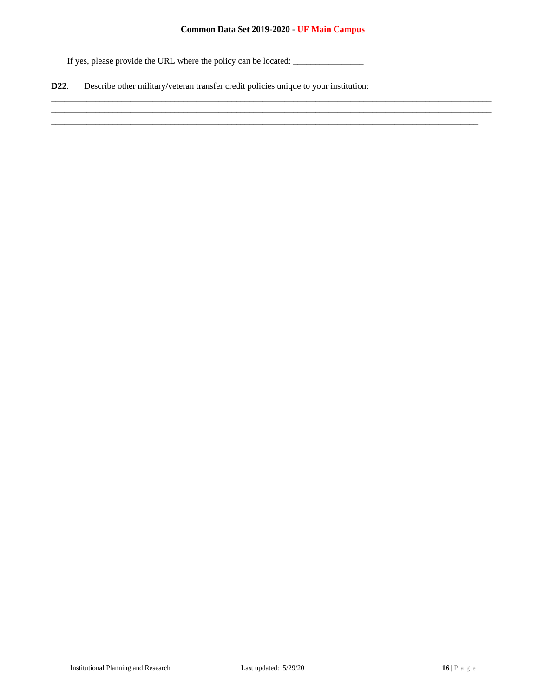\_\_\_\_\_\_\_\_\_\_\_\_\_\_\_\_\_\_\_\_\_\_\_\_\_\_\_\_\_\_\_\_\_\_\_\_\_\_\_\_\_\_\_\_\_\_\_\_\_\_\_\_\_\_\_\_\_\_\_\_\_\_\_\_\_\_\_\_\_\_\_\_\_\_\_\_\_\_\_\_\_\_\_\_\_\_\_\_\_\_\_\_\_\_\_\_\_\_\_\_ \_\_\_\_\_\_\_\_\_\_\_\_\_\_\_\_\_\_\_\_\_\_\_\_\_\_\_\_\_\_\_\_\_\_\_\_\_\_\_\_\_\_\_\_\_\_\_\_\_\_\_\_\_\_\_\_\_\_\_\_\_\_\_\_\_\_\_\_\_\_\_\_\_\_\_\_\_\_\_\_\_\_\_\_\_\_\_\_\_\_\_\_\_\_\_\_\_\_\_\_  $\_$  , and the set of the set of the set of the set of the set of the set of the set of the set of the set of the set of the set of the set of the set of the set of the set of the set of the set of the set of the set of th

If yes, please provide the URL where the policy can be located: \_\_\_\_\_\_\_\_\_\_\_\_\_\_\_\_

**D22**. Describe other military/veteran transfer credit policies unique to your institution: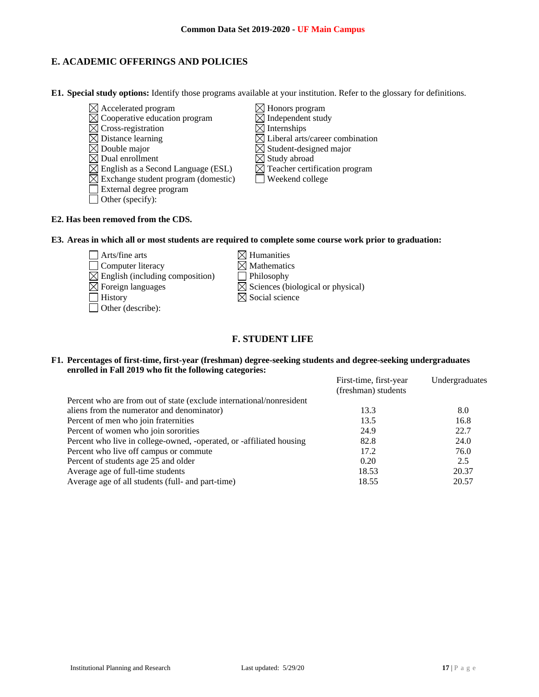# **E. ACADEMIC OFFERINGS AND POLICIES**

**E1. Special study options:** Identify those programs available at your institution. Refer to the glossary for definitions.

- $\boxtimes$  Accelerated program  $\boxtimes$  Honors program  $\boxtimes$  Honors program  $\boxtimes$  Independent study  $\boxtimes$  Cooperative education program  $\boxtimes$  Cross-registration  $\boxtimes$  Internships  $\boxtimes$  Distance learning  $\boxtimes$  Liberal arts/career combination  $\overline{\boxtimes}$  Double major  $\overline{\boxtimes}$  Student-designed major  $\boxtimes$  Dual enrollment  $\boxtimes$  Study abroad  $\boxtimes$  English as a Second Language (ESL)  $\boxtimes$  Teacher certification program Exchange student program (domestic) Weekend college External degree program  $\Box$  Other (specify):
- **E2. Has been removed from the CDS.**
- **E3. Areas in which all or most students are required to complete some course work prior to graduation:**
	- $\Box$  Arts/fine arts  $\boxtimes$  Humanities  $\Box$  Computer literacy  $\boxtimes$  Mathematics  $\boxtimes$  English (including composition)  $\Box$  Philosophy  $\boxtimes$  Foreign languages  $\boxtimes$  Sciences (biological or physical)  $\Box$  History  $\boxtimes$  Social science Other (describe):

# **F. STUDENT LIFE**

### **F1. Percentages of first-time, first-year (freshman) degree-seeking students and degree-seeking undergraduates enrolled in Fall 2019 who fit the following categories:**

| First-time, first-year<br>(freshman) students | Undergraduates |
|-----------------------------------------------|----------------|
|                                               |                |
| 13.3                                          | 8.0            |
| 13.5                                          | 16.8           |
| 24.9                                          | 22.7           |
| 82.8                                          | 24.0           |
| 17.2                                          | 76.0           |
| 0.20                                          | 2.5            |
| 18.53                                         | 20.37          |
| 18.55                                         | 20.57          |
|                                               |                |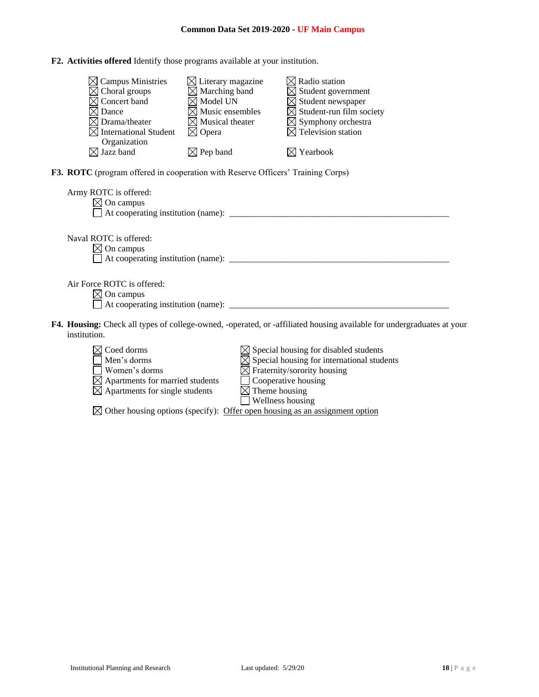**F2. Activities offered** Identify those programs available at your institution.

| $\boxtimes$ Campus Ministries<br>$\boxtimes$ Choral groups<br>Concert band<br>Dance<br>$\times$ Drama/theater<br><b>International Student</b><br>Organization | $\boxtimes$ Literary magazine<br>$\boxtimes$ Marching band<br>$\boxtimes$ Model UN<br>$\boxtimes$ Music ensembles<br>$\boxtimes$ Musical theater<br>$\boxtimes$ Opera | $\boxtimes$ Radio station<br>$\boxtimes$ Student government<br>$\boxtimes$ Student newspaper<br>$\boxtimes$ Student-run film society<br>$\boxtimes$ Symphony orchestra<br>$\boxtimes$ Television station |  |
|---------------------------------------------------------------------------------------------------------------------------------------------------------------|-----------------------------------------------------------------------------------------------------------------------------------------------------------------------|----------------------------------------------------------------------------------------------------------------------------------------------------------------------------------------------------------|--|
| $\boxtimes$ Jazz band                                                                                                                                         | $\boxtimes$ Pep band                                                                                                                                                  | $\boxtimes$ Yearbook                                                                                                                                                                                     |  |
| F3. ROTC (program offered in cooperation with Reserve Officers' Training Corps)                                                                               |                                                                                                                                                                       |                                                                                                                                                                                                          |  |
| Army ROTC is offered:<br>$\boxtimes$ On campus                                                                                                                |                                                                                                                                                                       |                                                                                                                                                                                                          |  |
| Naval ROTC is offered:<br>$\boxtimes$ On campus                                                                                                               |                                                                                                                                                                       |                                                                                                                                                                                                          |  |
| Air Force ROTC is offered:<br>$\boxtimes$ On campus                                                                                                           |                                                                                                                                                                       |                                                                                                                                                                                                          |  |
| institution.                                                                                                                                                  |                                                                                                                                                                       | F4. Housing: Check all types of college-owned, -operated, or -affiliated housing available for undergraduates at your                                                                                    |  |



 $\boxtimes$  Other housing options (specify): Offer open housing as an assignment option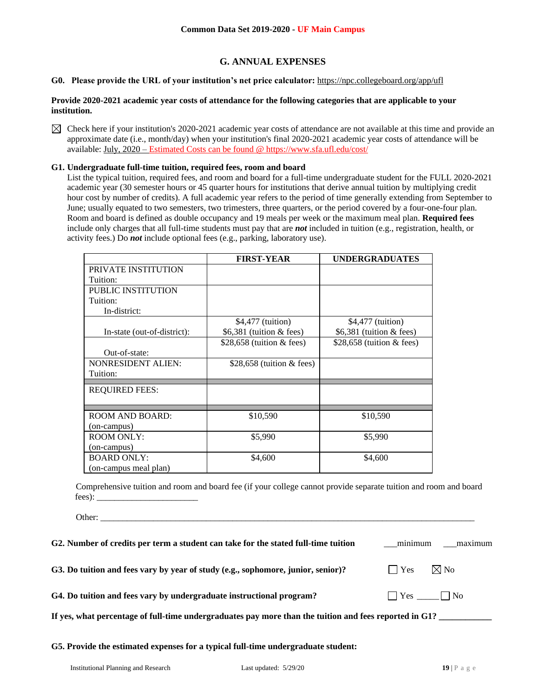# **G. ANNUAL EXPENSES**

# **G0. Please provide the URL of your institution's net price calculator:** <https://npc.collegeboard.org/app/ufl>

### **Provide 2020-2021 academic year costs of attendance for the following categories that are applicable to your institution.**

 $\boxtimes$  Check here if your institution's 2020-2021 academic year costs of attendance are not available at this time and provide an approximate date (i.e., month/day) when your institution's final 2020-2021 academic year costs of attendance will be available: July, 2020 – Estimated Costs can be found [@ https://www.sfa.ufl.edu/cost/](https://www.sfa.ufl.edu/cost/)

### **G1. Undergraduate full-time tuition, required fees, room and board**

List the typical tuition, required fees, and room and board for a full-time undergraduate student for the FULL 2020-2021 academic year (30 semester hours or 45 quarter hours for institutions that derive annual tuition by multiplying credit hour cost by number of credits). A full academic year refers to the period of time generally extending from September to June; usually equated to two semesters, two trimesters, three quarters, or the period covered by a four-one-four plan. Room and board is defined as double occupancy and 19 meals per week or the maximum meal plan. **Required fees** include only charges that all full-time students must pay that are *not* included in tuition (e.g., registration, health, or activity fees.) Do *not* include optional fees (e.g., parking, laboratory use).

|                             | <b>FIRST-YEAR</b>           | <b>UNDERGRADUATES</b>       |
|-----------------------------|-----------------------------|-----------------------------|
| PRIVATE INSTITUTION         |                             |                             |
| Tuition:                    |                             |                             |
| PUBLIC INSTITUTION          |                             |                             |
| Tuition:                    |                             |                             |
| In-district:                |                             |                             |
|                             | \$4,477 (tuition)           | \$4,477 (tuition)           |
| In-state (out-of-district): | \$6,381 (tuition $&$ fees)  | $$6,381$ (tuition & fees)   |
|                             | \$28,658 (tuition $&$ fees) | \$28,658 (tuition $&$ fees) |
| Out-of-state:               |                             |                             |
| <b>NONRESIDENT ALIEN:</b>   | \$28,658 (tuition $&$ fees) |                             |
| Tuition:                    |                             |                             |
|                             |                             |                             |
| <b>REQUIRED FEES:</b>       |                             |                             |
|                             |                             |                             |
| ROOM AND BOARD:             | \$10,590                    | \$10,590                    |
| (on-campus)                 |                             |                             |
| <b>ROOM ONLY:</b>           | \$5,990                     | \$5,990                     |
| (on-campus)                 |                             |                             |
| <b>BOARD ONLY:</b>          | \$4,600                     | \$4,600                     |
| (on-campus meal plan)       |                             |                             |

Comprehensive tuition and room and board fee (if your college cannot provide separate tuition and room and board fees): \_\_\_\_\_\_\_\_\_\_\_\_\_\_\_\_\_\_\_\_\_\_\_

| G2. Number of credits per term a student can take for the stated full-time tuition                     |               | minimum maximum      |
|--------------------------------------------------------------------------------------------------------|---------------|----------------------|
| G3. Do tuition and fees vary by year of study (e.g., sophomore, junior, senior)?                       | $\vert$   Yes | $\boxtimes$ No       |
| G4. Do tuition and fees vary by undergraduate instructional program?                                   |               | $\Box$ Yes $\Box$ No |
| If yes, what percentage of full-time undergraduates pay more than the tuition and fees reported in G1? |               |                      |
|                                                                                                        |               |                      |

**G5. Provide the estimated expenses for a typical full-time undergraduate student:**

Other: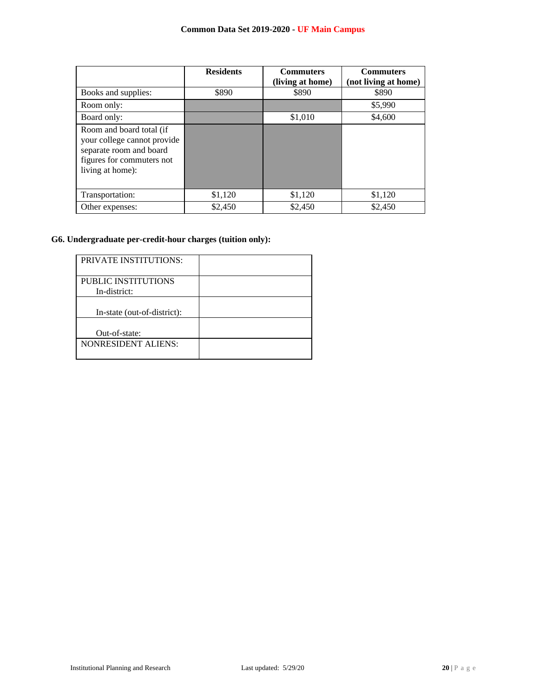|                                                                                                                                     | <b>Residents</b> | <b>Commuters</b><br>(living at home) | <b>Commuters</b><br>(not living at home) |
|-------------------------------------------------------------------------------------------------------------------------------------|------------------|--------------------------------------|------------------------------------------|
| Books and supplies:                                                                                                                 | \$890            | \$890                                | \$890                                    |
| Room only:                                                                                                                          |                  |                                      | \$5,990                                  |
| Board only:                                                                                                                         |                  | \$1,010                              | \$4,600                                  |
| Room and board total (if<br>your college cannot provide<br>separate room and board<br>figures for commuters not<br>living at home): |                  |                                      |                                          |
| Transportation:                                                                                                                     | \$1,120          | \$1,120                              | \$1,120                                  |
| Other expenses:                                                                                                                     | \$2,450          | \$2,450                              | \$2.450                                  |

# **G6. Undergraduate per-credit-hour charges (tuition only):**

| <b>PRIVATE INSTITUTIONS:</b>        |  |
|-------------------------------------|--|
| PUBLIC INSTITUTIONS<br>In-district: |  |
| In-state (out-of-district):         |  |
| Out-of-state:                       |  |
| <b>NONRESIDENT ALIENS:</b>          |  |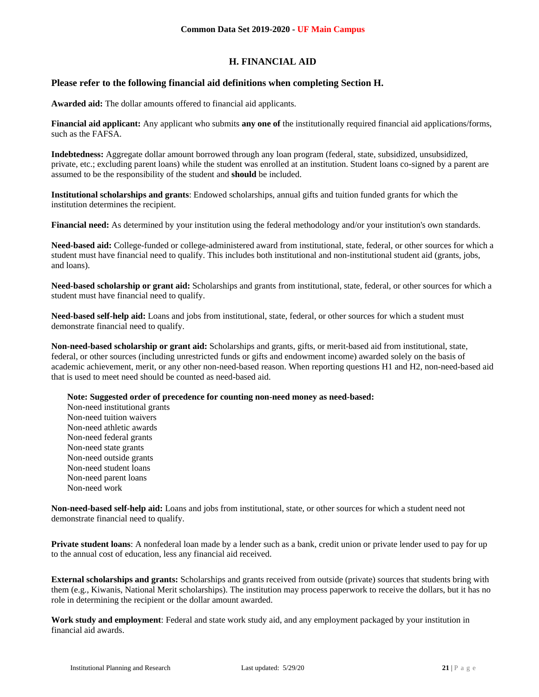# **H. FINANCIAL AID**

# **Please refer to the following financial aid definitions when completing Section H.**

**Awarded aid:** The dollar amounts offered to financial aid applicants.

**Financial aid applicant:** Any applicant who submits **any one of** the institutionally required financial aid applications/forms, such as the FAFSA.

**Indebtedness:** Aggregate dollar amount borrowed through any loan program (federal, state, subsidized, unsubsidized, private, etc.; excluding parent loans) while the student was enrolled at an institution. Student loans co-signed by a parent are assumed to be the responsibility of the student and **should** be included.

**Institutional scholarships and grants**: Endowed scholarships, annual gifts and tuition funded grants for which the institution determines the recipient.

**Financial need:** As determined by your institution using the federal methodology and/or your institution's own standards.

**Need-based aid:** College-funded or college-administered award from institutional, state, federal, or other sources for which a student must have financial need to qualify. This includes both institutional and non-institutional student aid (grants, jobs, and loans).

**Need-based scholarship or grant aid:** Scholarships and grants from institutional, state, federal, or other sources for which a student must have financial need to qualify.

**Need-based self-help aid:** Loans and jobs from institutional, state, federal, or other sources for which a student must demonstrate financial need to qualify.

**Non-need-based scholarship or grant aid:** Scholarships and grants, gifts, or merit-based aid from institutional, state, federal, or other sources (including unrestricted funds or gifts and endowment income) awarded solely on the basis of academic achievement, merit, or any other non-need-based reason. When reporting questions H1 and H2, non-need-based aid that is used to meet need should be counted as need-based aid.

**Note: Suggested order of precedence for counting non-need money as need-based:**

Non-need institutional grants Non-need tuition waivers Non-need athletic awards Non-need federal grants Non-need state grants Non-need outside grants Non-need student loans Non-need parent loans Non-need work

**Non-need-based self-help aid:** Loans and jobs from institutional, state, or other sources for which a student need not demonstrate financial need to qualify.

**Private student loans**: A nonfederal loan made by a lender such as a bank, credit union or private lender used to pay for up to the annual cost of education, less any financial aid received.

**External scholarships and grants:** Scholarships and grants received from outside (private) sources that students bring with them (e.g., Kiwanis, National Merit scholarships). The institution may process paperwork to receive the dollars, but it has no role in determining the recipient or the dollar amount awarded.

**Work study and employment**: Federal and state work study aid, and any employment packaged by your institution in financial aid awards.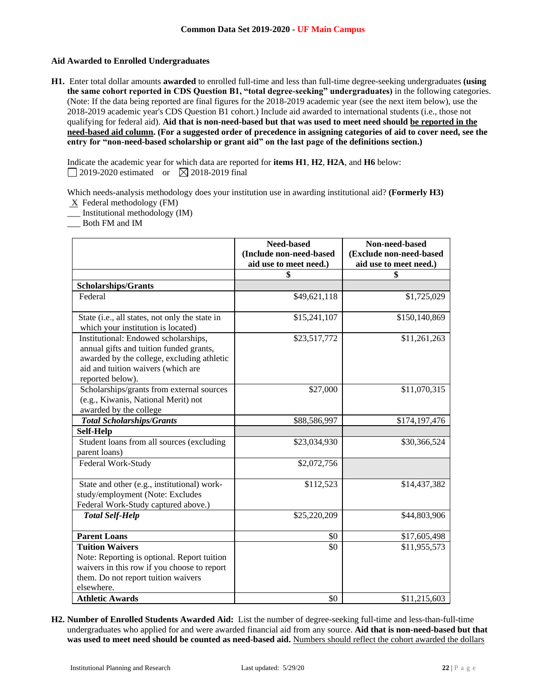## **Aid Awarded to Enrolled Undergraduates**

**H1.** Enter total dollar amounts **awarded** to enrolled full-time and less than full-time degree-seeking undergraduates **(using the same cohort reported in CDS Question B1, "total degree-seeking" undergraduates)** in the following categories. (Note: If the data being reported are final figures for the 2018-2019 academic year (see the next item below), use the 2018-2019 academic year's CDS Question B1 cohort.) Include aid awarded to international students (i.e., those not qualifying for federal aid). **Aid that is non-need-based but that was used to meet need should be reported in the need-based aid column. (For a suggested order of precedence in assigning categories of aid to cover need, see the entry for "non-need-based scholarship or grant aid" on the last page of the definitions section.)**

Indicate the academic year for which data are reported for **items H1**, **H2**, **H2A**, and **H6** below:  $\Box$  2019-2020 estimated or  $\Box$  2018-2019 final

Which needs-analysis methodology does your institution use in awarding institutional aid? **(Formerly H3)**

- $X$  Federal methodology (FM)
- \_\_\_ Institutional methodology (IM)
- \_\_\_ Both FM and IM

|                                                                                                                                                                                         | <b>Need-based</b><br>(Include non-need-based | Non-need-based<br>(Exclude non-need-based |
|-----------------------------------------------------------------------------------------------------------------------------------------------------------------------------------------|----------------------------------------------|-------------------------------------------|
|                                                                                                                                                                                         | aid use to meet need.)                       | aid use to meet need.)                    |
|                                                                                                                                                                                         | \$                                           | \$                                        |
| <b>Scholarships/Grants</b>                                                                                                                                                              |                                              |                                           |
| Federal                                                                                                                                                                                 | \$49,621,118                                 | \$1,725,029                               |
| State (i.e., all states, not only the state in                                                                                                                                          | \$15,241,107                                 | \$150,140,869                             |
| which your institution is located)                                                                                                                                                      |                                              |                                           |
| Institutional: Endowed scholarships,<br>annual gifts and tuition funded grants,<br>awarded by the college, excluding athletic<br>aid and tuition waivers (which are<br>reported below). | \$23,517,772                                 | \$11,261,263                              |
| Scholarships/grants from external sources<br>(e.g., Kiwanis, National Merit) not<br>awarded by the college                                                                              | \$27,000                                     | \$11,070,315                              |
| <b>Total Scholarships/Grants</b>                                                                                                                                                        | \$88,586,997                                 | \$174,197,476                             |
| <b>Self-Help</b>                                                                                                                                                                        |                                              |                                           |
| Student loans from all sources (excluding<br>parent loans)                                                                                                                              | \$23,034,930                                 | \$30,366,524                              |
| Federal Work-Study                                                                                                                                                                      | \$2,072,756                                  |                                           |
| State and other (e.g., institutional) work-<br>study/employment (Note: Excludes<br>Federal Work-Study captured above.)                                                                  | \$112,523                                    | \$14,437,382                              |
| <b>Total Self-Help</b>                                                                                                                                                                  | \$25,220,209                                 | \$44,803,906                              |
| <b>Parent Loans</b>                                                                                                                                                                     | \$0                                          | \$17,605,498                              |
| <b>Tuition Waivers</b><br>Note: Reporting is optional. Report tuition<br>waivers in this row if you choose to report<br>them. Do not report tuition waivers<br>elsewhere.               | \$0                                          | \$11,955,573                              |
| <b>Athletic Awards</b>                                                                                                                                                                  | \$0                                          | \$11,215,603                              |

**H2. Number of Enrolled Students Awarded Aid:** List the number of degree-seeking full-time and less-than-full-time undergraduates who applied for and were awarded financial aid from any source. **Aid that is non-need-based but that**  was used to meet need should be counted as need-based aid. Numbers should reflect the cohort awarded the dollars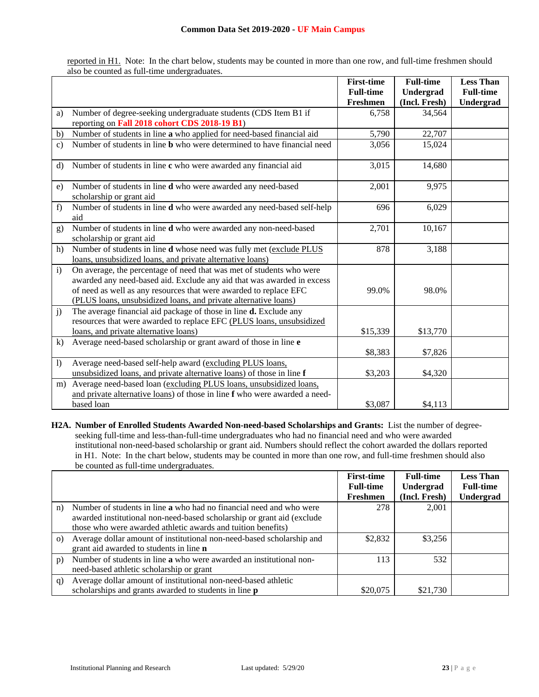reported in H1. Note: In the chart below, students may be counted in more than one row, and full-time freshmen should also be counted as full-time undergraduates.

|                |                                                                                                                                                                                                                                                                                        | <b>First-time</b> | <b>Full-time</b> | <b>Less Than</b> |
|----------------|----------------------------------------------------------------------------------------------------------------------------------------------------------------------------------------------------------------------------------------------------------------------------------------|-------------------|------------------|------------------|
|                |                                                                                                                                                                                                                                                                                        | <b>Full-time</b>  | Undergrad        | <b>Full-time</b> |
|                |                                                                                                                                                                                                                                                                                        | Freshmen          | (Incl. Fresh)    | Undergrad        |
| a)             | Number of degree-seeking undergraduate students (CDS Item B1 if                                                                                                                                                                                                                        | 6,758             | 34,564           |                  |
|                | reporting on Fall 2018 cohort CDS 2018-19 B1)                                                                                                                                                                                                                                          |                   |                  |                  |
| b)             | Number of students in line a who applied for need-based financial aid                                                                                                                                                                                                                  | 5,790             | 22,707           |                  |
| $\mathbf{c}$ ) | Number of students in line <b>b</b> who were determined to have financial need                                                                                                                                                                                                         | 3,056             | 15,024           |                  |
| $\rm d$        | Number of students in line c who were awarded any financial aid                                                                                                                                                                                                                        | 3,015             | 14,680           |                  |
| e)             | Number of students in line <b>d</b> who were awarded any need-based<br>scholarship or grant aid                                                                                                                                                                                        | 2,001             | 9,975            |                  |
| f)             | Number of students in line d who were awarded any need-based self-help<br>aid                                                                                                                                                                                                          | 696               | 6,029            |                  |
| g)             | Number of students in line d who were awarded any non-need-based<br>scholarship or grant aid                                                                                                                                                                                           | 2,701             | 10,167           |                  |
| h)             | Number of students in line d whose need was fully met (exclude PLUS<br>loans, unsubsidized loans, and private alternative loans)                                                                                                                                                       | 878               | 3,188            |                  |
| $\mathbf{i}$   | On average, the percentage of need that was met of students who were<br>awarded any need-based aid. Exclude any aid that was awarded in excess<br>of need as well as any resources that were awarded to replace EFC<br>(PLUS loans, unsubsidized loans, and private alternative loans) | 99.0%             | 98.0%            |                  |
| j)             | The average financial aid package of those in line <b>d.</b> Exclude any<br>resources that were awarded to replace EFC (PLUS loans, unsubsidized<br>loans, and private alternative loans)                                                                                              | \$15,339          | \$13,770         |                  |
| $\bf k$        | Average need-based scholarship or grant award of those in line e                                                                                                                                                                                                                       | \$8,383           | \$7,826          |                  |
| $\mathbf{I}$   | Average need-based self-help award (excluding PLUS loans,<br>unsubsidized loans, and private alternative loans) of those in line f                                                                                                                                                     | \$3,203           | \$4,320          |                  |
| m)             | Average need-based loan (excluding PLUS loans, unsubsidized loans,<br>and private alternative loans) of those in line f who were awarded a need-<br>based loan                                                                                                                         | \$3,087           | \$4,113          |                  |
|                |                                                                                                                                                                                                                                                                                        |                   |                  |                  |

**H2A. Number of Enrolled Students Awarded Non-need-based Scholarships and Grants:** List the number of degreeseeking full-time and less-than-full-time undergraduates who had no financial need and who were awarded institutional non-need-based scholarship or grant aid. Numbers should reflect the cohort awarded the dollars reported in H1. Note: In the chart below, students may be counted in more than one row, and full-time freshmen should also be counted as full-time undergraduates.

|          |                                                                                                                                                                                                                      | <b>First-time</b><br><b>Full-time</b> | <b>Full-time</b><br>Undergrad | <b>Less Than</b><br><b>Full-time</b> |
|----------|----------------------------------------------------------------------------------------------------------------------------------------------------------------------------------------------------------------------|---------------------------------------|-------------------------------|--------------------------------------|
|          |                                                                                                                                                                                                                      | Freshmen                              | (Incl. Fresh)                 | <b>Undergrad</b>                     |
| n)       | Number of students in line <b>a</b> who had no financial need and who were<br>awarded institutional non-need-based scholarship or grant aid (exclude<br>those who were awarded athletic awards and tuition benefits) | 278                                   | 2,001                         |                                      |
| $\Omega$ | Average dollar amount of institutional non-need-based scholarship and<br>grant aid awarded to students in line <b>n</b>                                                                                              | \$2,832                               | \$3,256                       |                                      |
| p)       | Number of students in line a who were awarded an institutional non-<br>need-based athletic scholarship or grant                                                                                                      | 113                                   | 532                           |                                      |
| q)       | Average dollar amount of institutional non-need-based athletic<br>scholarships and grants awarded to students in line p                                                                                              | \$20,075                              | \$21,730                      |                                      |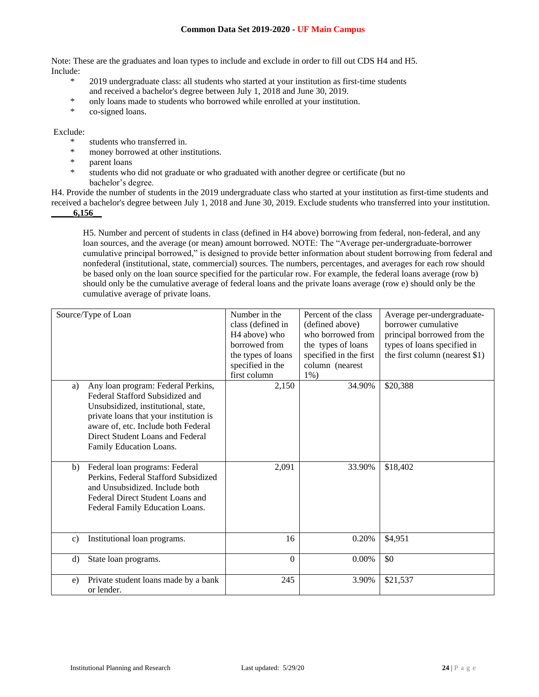Note: These are the graduates and loan types to include and exclude in order to fill out CDS H4 and H5. Include:

- \* 2019 undergraduate class: all students who started at your institution as first-time students and received a bachelor's degree between July 1, 2018 and June 30, 2019.
- \* only loans made to students who borrowed while enrolled at your institution.
- \* co-signed loans.

## Exclude:

- \* students who transferred in.
- \* money borrowed at other institutions.
- parent loans
- \* students who did not graduate or who graduated with another degree or certificate (but no bachelor's degree.

H4. Provide the number of students in the 2019 undergraduate class who started at your institution as first-time students and received a bachelor's degree between July 1, 2018 and June 30, 2019. Exclude students who transferred into your institution. **\_\_\_\_\_6,156\_\_**

H5. Number and percent of students in class (defined in H4 above) borrowing from federal, non-federal, and any loan sources, and the average (or mean) amount borrowed. NOTE: The "Average per-undergraduate-borrower cumulative principal borrowed," is designed to provide better information about student borrowing from federal and nonfederal (institutional, state, commercial) sources. The numbers, percentages, and averages for each row should be based only on the loan source specified for the particular row. For example, the federal loans average (row b) should only be the cumulative average of federal loans and the private loans average (row e) should only be the cumulative average of private loans.

|               | Source/Type of Loan                                                                                                                                                                                                                                          | Number in the<br>class (defined in<br>H <sub>4</sub> above) who<br>borrowed from<br>the types of loans<br>specified in the<br>first column | Percent of the class<br>(defined above)<br>who borrowed from<br>the types of loans<br>specified in the first<br>column (nearest<br>$1\%$ ) | Average per-undergraduate-<br>borrower cumulative<br>principal borrowed from the<br>types of loans specified in<br>the first column (nearest \$1) |
|---------------|--------------------------------------------------------------------------------------------------------------------------------------------------------------------------------------------------------------------------------------------------------------|--------------------------------------------------------------------------------------------------------------------------------------------|--------------------------------------------------------------------------------------------------------------------------------------------|---------------------------------------------------------------------------------------------------------------------------------------------------|
| a)            | Any loan program: Federal Perkins,<br>Federal Stafford Subsidized and<br>Unsubsidized, institutional, state,<br>private loans that your institution is<br>aware of, etc. Include both Federal<br>Direct Student Loans and Federal<br>Family Education Loans. | 2,150                                                                                                                                      | 34.90%                                                                                                                                     | \$20,388                                                                                                                                          |
| b)            | Federal loan programs: Federal<br>Perkins, Federal Stafford Subsidized<br>and Unsubsidized. Include both<br>Federal Direct Student Loans and<br>Federal Family Education Loans.                                                                              | 2,091                                                                                                                                      | 33.90%                                                                                                                                     | \$18,402                                                                                                                                          |
| $\mathbf{c})$ | Institutional loan programs.                                                                                                                                                                                                                                 | 16                                                                                                                                         | 0.20%                                                                                                                                      | \$4,951                                                                                                                                           |
| d)            | State loan programs.                                                                                                                                                                                                                                         | $\theta$                                                                                                                                   | $0.00\%$                                                                                                                                   | \$0                                                                                                                                               |
| e)            | Private student loans made by a bank<br>or lender.                                                                                                                                                                                                           | 245                                                                                                                                        | 3.90%                                                                                                                                      | \$21,537                                                                                                                                          |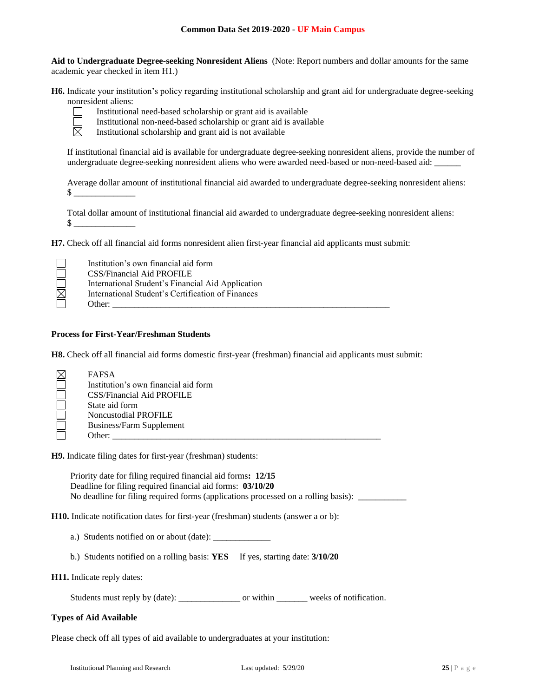**Aid to Undergraduate Degree-seeking Nonresident Aliens** (Note: Report numbers and dollar amounts for the same academic year checked in item H1.)

**H6.** Indicate your institution's policy regarding institutional scholarship and grant aid for undergraduate degree-seeking nonresident aliens:



Institutional need-based scholarship or grant aid is available

Institutional non-need-based scholarship or grant aid is available

Institutional scholarship and grant aid is not available

If institutional financial aid is available for undergraduate degree-seeking nonresident aliens, provide the number of undergraduate degree-seeking nonresident aliens who were awarded need-based or non-need-based aid: \_\_\_\_\_\_

Average dollar amount of institutional financial aid awarded to undergraduate degree-seeking nonresident aliens:  $\mathbb S$ 

Total dollar amount of institutional financial aid awarded to undergraduate degree-seeking nonresident aliens:  $\mathbb S$ 

**H7.** Check off all financial aid forms nonresident alien first-year financial aid applicants must submit:

|             | Institution's own financial aid form              |
|-------------|---------------------------------------------------|
|             | CSS/Financial Aid PROFILE                         |
|             | International Student's Financial Aid Application |
| $\boxtimes$ | International Student's Certification of Finances |
|             | Other:                                            |

### **Process for First-Year/Freshman Students**

**H8.** Check off all financial aid forms domestic first-year (freshman) financial aid applicants must submit:

| Institution's own financial aid form |
|--------------------------------------|
|                                      |
| <b>CSS/Financial Aid PROFILE</b>     |
| State aid form                       |
| <b>Noncustodial PROFILE</b>          |
| <b>Business/Farm Supplement</b>      |
| Other:                               |

**H9.** Indicate filing dates for first-year (freshman) students:

Priority date for filing required financial aid forms**: 12/15** Deadline for filing required financial aid forms: **03/10/20** No deadline for filing required forms (applications processed on a rolling basis): \_\_\_\_\_\_\_\_\_\_\_\_\_\_\_\_\_\_\_\_\_\_\_\_\_\_\_

**H10.** Indicate notification dates for first-year (freshman) students (answer a or b):

a.) Students notified on or about (date): \_\_\_\_\_\_\_\_\_\_\_\_\_

b.) Students notified on a rolling basis: **YES** If yes, starting date: **3/10/20**

#### **H11.** Indicate reply dates:

Students must reply by (date): \_\_\_\_\_\_\_\_\_\_\_\_\_\_\_\_\_\_\_\_ or within \_\_\_\_\_\_\_\_\_\_ weeks of notification.

### **Types of Aid Available**

Please check off all types of aid available to undergraduates at your institution: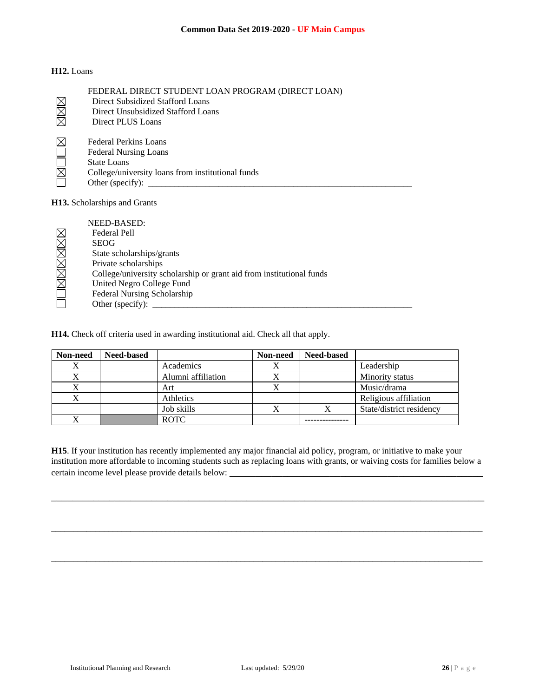## **H12.** Loans

|                               | FEDERAL DIRECT STUDENT LOAN PROGRAM (DIRECT LOAN) |
|-------------------------------|---------------------------------------------------|
|                               | Direct Subsidized Stafford Loans                  |
| $\frac{\boxtimes}{\boxtimes}$ | Direct Unsubsidized Stafford Loans                |
|                               | Direct PLUS Loans                                 |
|                               |                                                   |
|                               | <b>Federal Perkins Loans</b>                      |
|                               | <b>Federal Nursing Loans</b>                      |
|                               | <b>State Loans</b>                                |
| $\boxtimes$                   | College/university loans from institutional funds |
|                               | Other (specify): $\qquad \qquad$                  |
|                               |                                                   |
|                               | <b>H13.</b> Scholarships and Grants               |

NEED-BASED: **NAMBBBE**  Federal Pell SEOG State scholarships/grants Private scholarships College/university scholarship or grant aid from institutional funds United Negro College Fund Federal Nursing Scholarship Other (specify):  $\_\_$ 

**H14.** Check off criteria used in awarding institutional aid. Check all that apply.

| Non-need  | <b>Need-based</b> |                    | Non-need | <b>Need-based</b> |                          |
|-----------|-------------------|--------------------|----------|-------------------|--------------------------|
| $\Lambda$ |                   | Academics          |          |                   | Leadership               |
|           |                   | Alumni affiliation |          |                   | Minority status          |
|           |                   | Art                |          |                   | Music/drama              |
| X         |                   | Athletics          |          |                   | Religious affiliation    |
|           |                   | Job skills         |          |                   | State/district residency |
|           |                   | <b>ROTC</b>        |          |                   |                          |

**H15**. If your institution has recently implemented any major financial aid policy, program, or initiative to make your institution more affordable to incoming students such as replacing loans with grants, or waiving costs for families below a certain income level please provide details below: \_\_\_\_\_\_\_\_\_\_\_\_\_\_\_\_\_\_\_\_\_\_\_\_\_\_\_\_\_\_

\_\_\_\_\_\_\_\_\_\_\_\_\_\_\_\_\_\_\_\_\_\_\_\_\_\_\_\_\_\_\_\_\_\_\_\_\_\_\_\_\_\_\_\_\_\_\_\_\_\_\_\_\_\_\_\_\_\_\_\_\_\_\_\_\_\_\_\_\_\_\_\_\_\_\_\_\_\_\_\_\_\_

 $\_$  , and the set of the set of the set of the set of the set of the set of the set of the set of the set of the set of the set of the set of the set of the set of the set of the set of the set of the set of the set of th

 $\_$  , and the set of the set of the set of the set of the set of the set of the set of the set of the set of the set of the set of the set of the set of the set of the set of the set of the set of the set of the set of th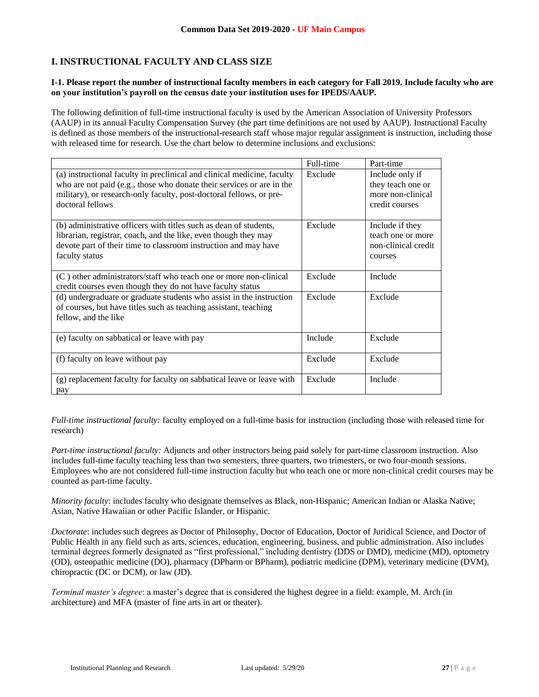# **I. INSTRUCTIONAL FACULTY AND CLASS SIZE**

## **I-1. Please report the number of instructional faculty members in each category for Fall 2019. Include faculty who are on your institution's payroll on the census date your institution uses for IPEDS/AAUP.**

The following definition of full-time instructional faculty is used by the American Association of University Professors (AAUP) in its annual Faculty Compensation Survey (the part time definitions are not used by AAUP). Instructional Faculty is defined as those members of the instructional-research staff whose major regular assignment is instruction, including those with released time for research. Use the chart below to determine inclusions and exclusions:

|                                                                                                                                                                                                                                             | Full-time | Part-time                                                                   |
|---------------------------------------------------------------------------------------------------------------------------------------------------------------------------------------------------------------------------------------------|-----------|-----------------------------------------------------------------------------|
| (a) instructional faculty in preclinical and clinical medicine, faculty<br>who are not paid (e.g., those who donate their services or are in the<br>military), or research-only faculty, post-doctoral fellows, or pre-<br>doctoral fellows | Exclude   | Include only if<br>they teach one or<br>more non-clinical<br>credit courses |
| (b) administrative officers with titles such as dean of students,<br>librarian, registrar, coach, and the like, even though they may<br>devote part of their time to classroom instruction and may have<br>faculty status                   | Exclude   | Include if they<br>teach one or more<br>non-clinical credit<br>courses      |
| $(C)$ other administrators/staff who teach one or more non-clinical<br>credit courses even though they do not have faculty status                                                                                                           | Exclude   | Include                                                                     |
| (d) undergraduate or graduate students who assist in the instruction<br>of courses, but have titles such as teaching assistant, teaching<br>fellow, and the like                                                                            | Exclude   | Exclude                                                                     |
| (e) faculty on sabbatical or leave with pay                                                                                                                                                                                                 | Include   | Exclude                                                                     |
| (f) faculty on leave without pay                                                                                                                                                                                                            | Exclude   | Exclude                                                                     |
| (g) replacement faculty for faculty on sabbatical leave or leave with<br>pay                                                                                                                                                                | Exclude   | Include                                                                     |

*Full-time instructional faculty:* faculty employed on a full-time basis for instruction (including those with released time for research)

*Part-time instructional faculty:* Adjuncts and other instructors being paid solely for part-time classroom instruction. Also includes full-time faculty teaching less than two semesters, three quarters, two trimesters, or two four-month sessions. Employees who are not considered full-time instruction faculty but who teach one or more non-clinical credit courses may be counted as part-time faculty.

*Minority faculty*: includes faculty who designate themselves as Black, non-Hispanic; American Indian or Alaska Native; Asian, Native Hawaiian or other Pacific Islander, or Hispanic.

*Doctorate*: includes such degrees as Doctor of Philosophy, Doctor of Education, Doctor of Juridical Science, and Doctor of Public Health in any field such as arts, sciences, education, engineering, business, and public administration. Also includes terminal degrees formerly designated as "first professional," including dentistry (DDS or DMD), medicine (MD), optometry (OD), osteopathic medicine (DO), pharmacy (DPharm or BPharm), podiatric medicine (DPM), veterinary medicine (DVM), chiropractic (DC or DCM), or law (JD).

*Terminal master's degree*: a master's degree that is considered the highest degree in a field: example, M. Arch (in architecture) and MFA (master of fine arts in art or theater).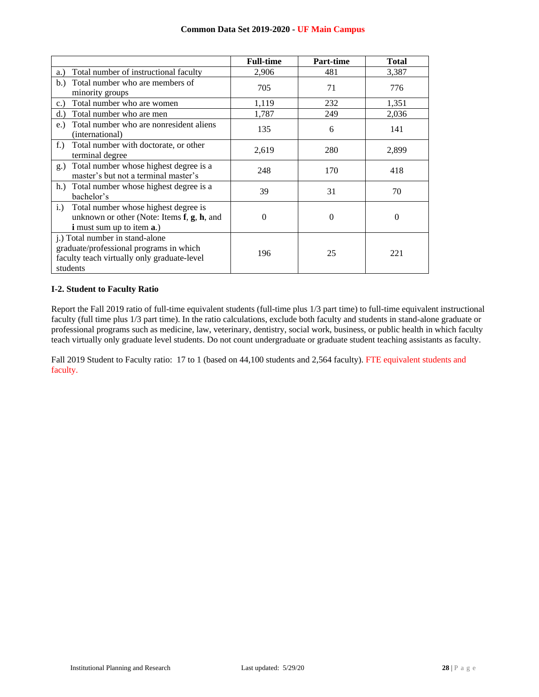|                                                                                                                                                | <b>Full-time</b> | <b>Part-time</b> | <b>Total</b> |
|------------------------------------------------------------------------------------------------------------------------------------------------|------------------|------------------|--------------|
| Total number of instructional faculty<br>a.)                                                                                                   | 2,906            | 481              | 3,387        |
| Total number who are members of<br>b.)<br>minority groups                                                                                      | 705              | 71               | 776          |
| Total number who are women<br>c.                                                                                                               | 1,119            | 232              | 1,351        |
| Total number who are men<br>d.                                                                                                                 | 1,787            | 249              | 2,036        |
| Total number who are nonresident aliens<br>e.)<br>(international)                                                                              | 135              | 6                | 141          |
| Total number with doctorate, or other<br>$f_{\cdot}$ )<br>terminal degree                                                                      | 2,619            | 280              | 2,899        |
| Total number whose highest degree is a<br>g.)<br>master's but not a terminal master's                                                          | 248              | 170              | 418          |
| h.) Total number whose highest degree is a<br>bachelor's                                                                                       | 39               | 31               | 70           |
| Total number whose highest degree is<br>i.)<br>unknown or other (Note: Items $f$ , $g$ , $h$ , and<br><i>i</i> must sum up to item <b>a</b> .) | 0                | 0                | $\theta$     |
| j.) Total number in stand-alone<br>graduate/professional programs in which<br>faculty teach virtually only graduate-level<br>students          | 196              | 25               | 221          |

## **I-2. Student to Faculty Ratio**

Report the Fall 2019 ratio of full-time equivalent students (full-time plus 1/3 part time) to full-time equivalent instructional faculty (full time plus 1/3 part time). In the ratio calculations, exclude both faculty and students in stand-alone graduate or professional programs such as medicine, law, veterinary, dentistry, social work, business, or public health in which faculty teach virtually only graduate level students. Do not count undergraduate or graduate student teaching assistants as faculty.

Fall 2019 Student to Faculty ratio: 17 to 1 (based on 44,100 students and 2,564 faculty). FTE equivalent students and faculty.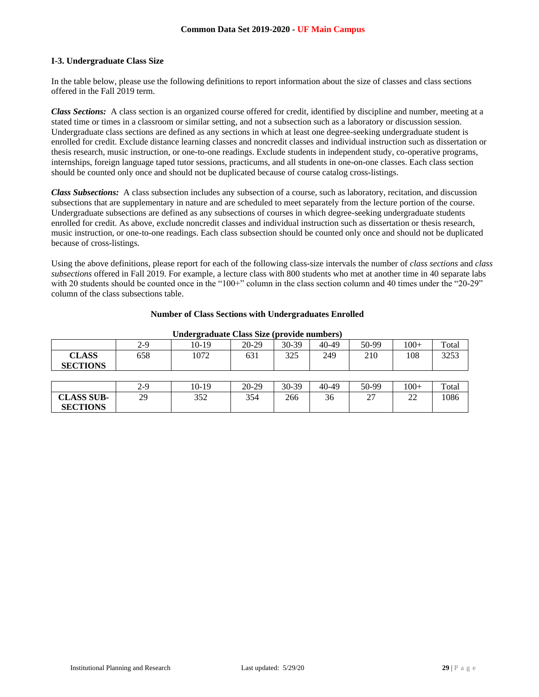## **I-3. Undergraduate Class Size**

In the table below, please use the following definitions to report information about the size of classes and class sections offered in the Fall 2019 term.

*Class Sections:* A class section is an organized course offered for credit, identified by discipline and number, meeting at a stated time or times in a classroom or similar setting, and not a subsection such as a laboratory or discussion session. Undergraduate class sections are defined as any sections in which at least one degree-seeking undergraduate student is enrolled for credit. Exclude distance learning classes and noncredit classes and individual instruction such as dissertation or thesis research, music instruction, or one-to-one readings. Exclude students in independent study, co-operative programs, internships, foreign language taped tutor sessions, practicums, and all students in one-on-one classes. Each class section should be counted only once and should not be duplicated because of course catalog cross-listings.

*Class Subsections:* A class subsection includes any subsection of a course, such as laboratory, recitation, and discussion subsections that are supplementary in nature and are scheduled to meet separately from the lecture portion of the course. Undergraduate subsections are defined as any subsections of courses in which degree-seeking undergraduate students enrolled for credit. As above, exclude noncredit classes and individual instruction such as dissertation or thesis research, music instruction, or one-to-one readings. Each class subsection should be counted only once and should not be duplicated because of cross-listings.

Using the above definitions, please report for each of the following class-size intervals the number of *class sections* and *class subsections* offered in Fall 2019. For example, a lecture class with 800 students who met at another time in 40 separate labs with 20 students should be counted once in the "100+" column in the class section column and 40 times under the "20-29" column of the class subsections table.

| <b>Undergraduate Class Size (provide numbers)</b> |     |         |         |           |       |       |        |       |
|---------------------------------------------------|-----|---------|---------|-----------|-------|-------|--------|-------|
|                                                   | 2-9 | $10-19$ | $20-29$ | $30-39$   | 40-49 | 50-99 | $100+$ | Total |
| <b>CLASS</b><br><b>SECTIONS</b>                   | 658 | 1072    | 631     | 325       | 249   | 210   | 108    | 3253  |
|                                                   |     |         |         |           |       |       |        |       |
|                                                   | 2-9 | $10-19$ | $20-29$ | $30 - 39$ | 40-49 | 50-99 | $100+$ | Total |
| <b>CLASS SUB-</b><br><b>SECTIONS</b>              | 29  | 352     | 354     | 266       | 36    | 27    | 22     | 1086  |

#### **Number of Class Sections with Undergraduates Enrolled**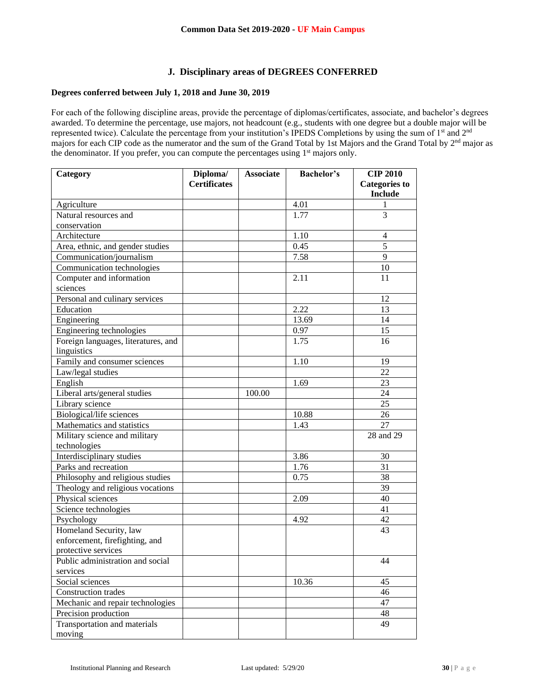## **J. Disciplinary areas of DEGREES CONFERRED**

# **Degrees conferred between July 1, 2018 and June 30, 2019**

For each of the following discipline areas, provide the percentage of diplomas/certificates, associate, and bachelor's degrees awarded. To determine the percentage, use majors, not headcount (e.g., students with one degree but a double major will be represented twice). Calculate the percentage from your institution's IPEDS Completions by using the sum of 1<sup>st</sup> and 2<sup>nd</sup> majors for each CIP code as the numerator and the sum of the Grand Total by 1st Majors and the Grand Total by 2<sup>nd</sup> major as the denominator. If you prefer, you can compute the percentages using 1<sup>st</sup> majors only.

| Category                            | Diploma/            | <b>Associate</b> | <b>Bachelor's</b> | <b>CIP 2010</b>         |
|-------------------------------------|---------------------|------------------|-------------------|-------------------------|
|                                     | <b>Certificates</b> |                  |                   | <b>Categories to</b>    |
|                                     |                     |                  |                   | <b>Include</b>          |
| Agriculture                         |                     |                  | 4.01              | 1                       |
| Natural resources and               |                     |                  | 1.77              | 3                       |
| conservation                        |                     |                  |                   |                         |
| Architecture                        |                     |                  | 1.10              | $\overline{\mathbf{4}}$ |
| Area, ethnic, and gender studies    |                     |                  | 0.45              | 5                       |
| Communication/journalism            |                     |                  | 7.58              | 9                       |
| Communication technologies          |                     |                  |                   | 10                      |
| Computer and information            |                     |                  | 2.11              | 11                      |
| sciences                            |                     |                  |                   |                         |
| Personal and culinary services      |                     |                  |                   | 12                      |
| Education                           |                     |                  | 2.22              | 13                      |
| Engineering                         |                     |                  | 13.69             | 14                      |
| Engineering technologies            |                     |                  | 0.97              | 15                      |
| Foreign languages, literatures, and |                     |                  | 1.75              | 16                      |
| linguistics                         |                     |                  |                   |                         |
| Family and consumer sciences        |                     |                  | 1.10              | 19                      |
| Law/legal studies                   |                     |                  |                   | 22                      |
| English                             |                     |                  | 1.69              | 23                      |
| Liberal arts/general studies        |                     | 100.00           |                   | 24                      |
| Library science                     |                     |                  |                   | 25                      |
| Biological/life sciences            |                     |                  | 10.88             | 26                      |
| Mathematics and statistics          |                     |                  | 1.43              | 27                      |
| Military science and military       |                     |                  |                   | 28 and 29               |
| technologies                        |                     |                  |                   |                         |
| Interdisciplinary studies           |                     |                  | 3.86              | 30                      |
| Parks and recreation                |                     |                  | 1.76              | 31                      |
| Philosophy and religious studies    |                     |                  | 0.75              | 38                      |
| Theology and religious vocations    |                     |                  |                   | 39                      |
| Physical sciences                   |                     |                  | 2.09              | 40                      |
| Science technologies                |                     |                  |                   | 41                      |
| Psychology                          |                     |                  | 4.92              | 42                      |
| Homeland Security, law              |                     |                  |                   | 43                      |
| enforcement, firefighting, and      |                     |                  |                   |                         |
| protective services                 |                     |                  |                   |                         |
| Public administration and social    |                     |                  |                   | 44                      |
| services                            |                     |                  |                   |                         |
| Social sciences                     |                     |                  | 10.36             | 45                      |
| Construction trades                 |                     |                  |                   | 46                      |
| Mechanic and repair technologies    |                     |                  |                   | 47                      |
| Precision production                |                     |                  |                   | 48                      |
| Transportation and materials        |                     |                  |                   | 49                      |
| moving                              |                     |                  |                   |                         |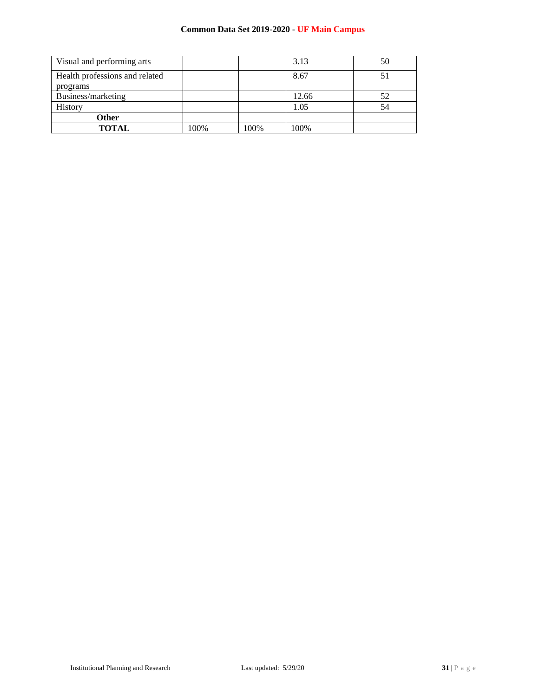| Visual and performing arts                 |      |      | 3.13  | 50 |
|--------------------------------------------|------|------|-------|----|
| Health professions and related<br>programs |      |      | 8.67  | 51 |
| Business/marketing                         |      |      | 12.66 | 52 |
| History                                    |      |      | 1.05  | 54 |
| Other                                      |      |      |       |    |
| <b>TOTAL</b>                               | 100% | 100% | 100%  |    |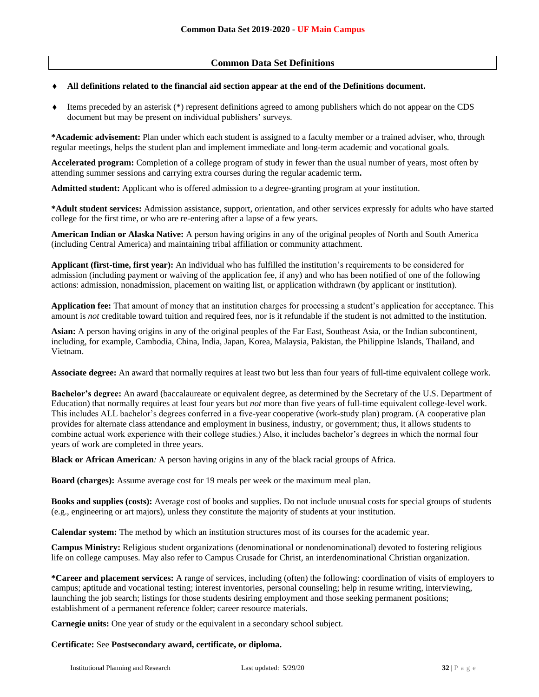# **Common Data Set Definitions**

### **All definitions related to the financial aid section appear at the end of the Definitions document.**

 Items preceded by an asterisk (\*) represent definitions agreed to among publishers which do not appear on the CDS document but may be present on individual publishers' surveys.

**\*Academic advisement:** Plan under which each student is assigned to a faculty member or a trained adviser, who, through regular meetings, helps the student plan and implement immediate and long-term academic and vocational goals.

**Accelerated program:** Completion of a college program of study in fewer than the usual number of years, most often by attending summer sessions and carrying extra courses during the regular academic term**.**

**Admitted student:** Applicant who is offered admission to a degree-granting program at your institution.

**\*Adult student services:** Admission assistance, support, orientation, and other services expressly for adults who have started college for the first time, or who are re-entering after a lapse of a few years.

**American Indian or Alaska Native:** A person having origins in any of the original peoples of North and South America (including Central America) and maintaining tribal affiliation or community attachment.

**Applicant (first-time, first year):** An individual who has fulfilled the institution's requirements to be considered for admission (including payment or waiving of the application fee, if any) and who has been notified of one of the following actions: admission, nonadmission, placement on waiting list, or application withdrawn (by applicant or institution).

**Application fee:** That amount of money that an institution charges for processing a student's application for acceptance. This amount is *not* creditable toward tuition and required fees, nor is it refundable if the student is not admitted to the institution.

**Asian:** A person having origins in any of the original peoples of the Far East, Southeast Asia, or the Indian subcontinent, including, for example, Cambodia, China, India, Japan, Korea, Malaysia, Pakistan, the Philippine Islands, Thailand, and Vietnam.

**Associate degree:** An award that normally requires at least two but less than four years of full-time equivalent college work.

**Bachelor's degree:** An award (baccalaureate or equivalent degree, as determined by the Secretary of the U.S. Department of Education) that normally requires at least four years but *not* more than five years of full-time equivalent college-level work. This includes ALL bachelor's degrees conferred in a five-year cooperative (work-study plan) program. (A cooperative plan provides for alternate class attendance and employment in business, industry, or government; thus, it allows students to combine actual work experience with their college studies.) Also, it includes bachelor's degrees in which the normal four years of work are completed in three years.

**Black or African American***:* A person having origins in any of the black racial groups of Africa.

**Board (charges):** Assume average cost for 19 meals per week or the maximum meal plan.

**Books and supplies (costs):** Average cost of books and supplies. Do not include unusual costs for special groups of students (e.g., engineering or art majors), unless they constitute the majority of students at your institution.

**Calendar system:** The method by which an institution structures most of its courses for the academic year.

**Campus Ministry:** Religious student organizations (denominational or nondenominational) devoted to fostering religious life on college campuses. May also refer to Campus Crusade for Christ, an interdenominational Christian organization.

**\*Career and placement services:** A range of services, including (often) the following: coordination of visits of employers to campus; aptitude and vocational testing; interest inventories, personal counseling; help in resume writing, interviewing, launching the job search; listings for those students desiring employment and those seeking permanent positions; establishment of a permanent reference folder; career resource materials.

**Carnegie units:** One year of study or the equivalent in a secondary school subject.

### **Certificate:** See **Postsecondary award, certificate, or diploma.**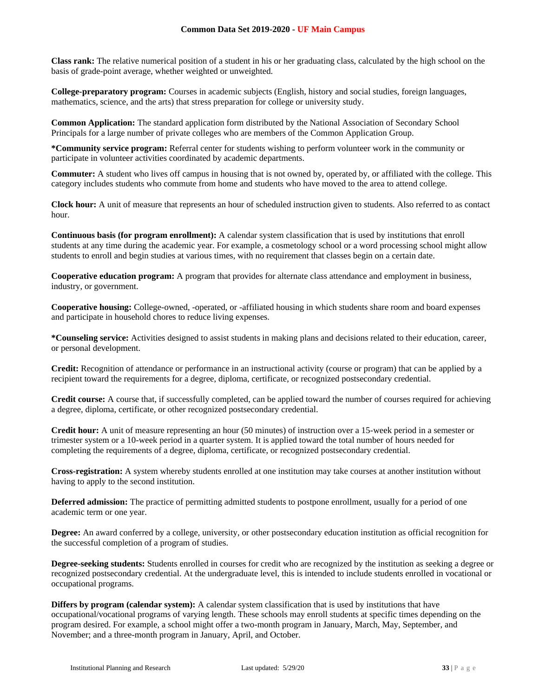**Class rank:** The relative numerical position of a student in his or her graduating class, calculated by the high school on the basis of grade-point average, whether weighted or unweighted.

**College-preparatory program:** Courses in academic subjects (English, history and social studies, foreign languages, mathematics, science, and the arts) that stress preparation for college or university study.

**Common Application:** The standard application form distributed by the National Association of Secondary School Principals for a large number of private colleges who are members of the Common Application Group.

**\*Community service program:** Referral center for students wishing to perform volunteer work in the community or participate in volunteer activities coordinated by academic departments.

**Commuter:** A student who lives off campus in housing that is not owned by, operated by, or affiliated with the college. This category includes students who commute from home and students who have moved to the area to attend college.

**Clock hour:** A unit of measure that represents an hour of scheduled instruction given to students. Also referred to as contact hour.

**Continuous basis (for program enrollment):** A calendar system classification that is used by institutions that enroll students at any time during the academic year. For example, a cosmetology school or a word processing school might allow students to enroll and begin studies at various times, with no requirement that classes begin on a certain date.

**Cooperative education program:** A program that provides for alternate class attendance and employment in business, industry, or government.

**Cooperative housing:** College-owned, -operated, or -affiliated housing in which students share room and board expenses and participate in household chores to reduce living expenses.

**\*Counseling service:** Activities designed to assist students in making plans and decisions related to their education, career, or personal development.

**Credit:** Recognition of attendance or performance in an instructional activity (course or program) that can be applied by a recipient toward the requirements for a degree, diploma, certificate, or recognized postsecondary credential.

**Credit course:** A course that, if successfully completed, can be applied toward the number of courses required for achieving a degree, diploma, certificate, or other recognized postsecondary credential.

**Credit hour:** A unit of measure representing an hour (50 minutes) of instruction over a 15-week period in a semester or trimester system or a 10-week period in a quarter system. It is applied toward the total number of hours needed for completing the requirements of a degree, diploma, certificate, or recognized postsecondary credential.

**Cross-registration:** A system whereby students enrolled at one institution may take courses at another institution without having to apply to the second institution.

**Deferred admission:** The practice of permitting admitted students to postpone enrollment, usually for a period of one academic term or one year.

**Degree:** An award conferred by a college, university, or other postsecondary education institution as official recognition for the successful completion of a program of studies.

**Degree-seeking students:** Students enrolled in courses for credit who are recognized by the institution as seeking a degree or recognized postsecondary credential. At the undergraduate level, this is intended to include students enrolled in vocational or occupational programs.

**Differs by program (calendar system):** A calendar system classification that is used by institutions that have occupational/vocational programs of varying length. These schools may enroll students at specific times depending on the program desired. For example, a school might offer a two-month program in January, March, May, September, and November; and a three-month program in January, April, and October.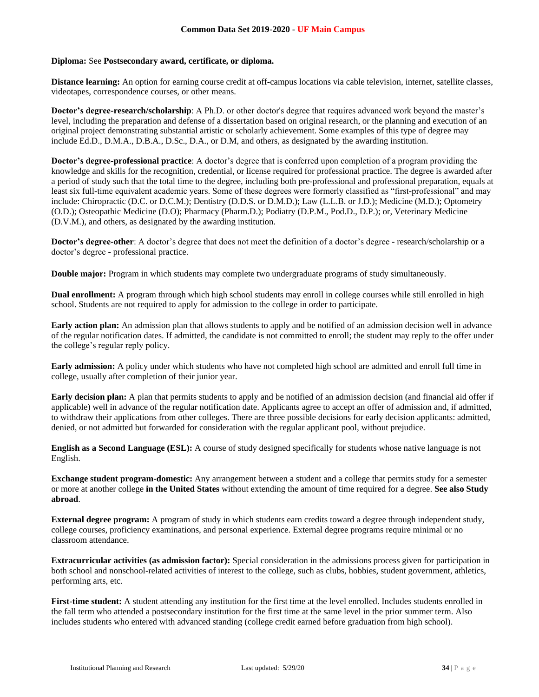## **Diploma:** See **Postsecondary award, certificate, or diploma.**

**Distance learning:** An option for earning course credit at off-campus locations via cable television, internet, satellite classes, videotapes, correspondence courses, or other means.

**Doctor's degree-research/scholarship**: A Ph.D. or other doctor's degree that requires advanced work beyond the master's level, including the preparation and defense of a dissertation based on original research, or the planning and execution of an original project demonstrating substantial artistic or scholarly achievement. Some examples of this type of degree may include Ed.D., D.M.A., D.B.A., D.Sc., D.A., or D.M, and others, as designated by the awarding institution.

**Doctor's degree-professional practice**: A doctor's degree that is conferred upon completion of a program providing the knowledge and skills for the recognition, credential, or license required for professional practice. The degree is awarded after a period of study such that the total time to the degree, including both pre-professional and professional preparation, equals at least six full-time equivalent academic years. Some of these degrees were formerly classified as "first-professional" and may include: Chiropractic (D.C. or D.C.M.); Dentistry (D.D.S. or D.M.D.); Law (L.L.B. or J.D.); Medicine (M.D.); Optometry (O.D.); Osteopathic Medicine (D.O); Pharmacy (Pharm.D.); Podiatry (D.P.M., Pod.D., D.P.); or, Veterinary Medicine (D.V.M.), and others, as designated by the awarding institution.

**Doctor's degree-other**: A doctor's degree that does not meet the definition of a doctor's degree - research/scholarship or a doctor's degree - professional practice.

**Double major:** Program in which students may complete two undergraduate programs of study simultaneously.

**Dual enrollment:** A program through which high school students may enroll in college courses while still enrolled in high school. Students are not required to apply for admission to the college in order to participate.

**Early action plan:** An admission plan that allows students to apply and be notified of an admission decision well in advance of the regular notification dates. If admitted, the candidate is not committed to enroll; the student may reply to the offer under the college's regular reply policy.

**Early admission:** A policy under which students who have not completed high school are admitted and enroll full time in college, usually after completion of their junior year.

**Early decision plan:** A plan that permits students to apply and be notified of an admission decision (and financial aid offer if applicable) well in advance of the regular notification date. Applicants agree to accept an offer of admission and, if admitted, to withdraw their applications from other colleges. There are three possible decisions for early decision applicants: admitted, denied, or not admitted but forwarded for consideration with the regular applicant pool, without prejudice.

**English as a Second Language (ESL):** A course of study designed specifically for students whose native language is not English.

**Exchange student program-domestic:** Any arrangement between a student and a college that permits study for a semester or more at another college **in the United States** without extending the amount of time required for a degree. **See also Study abroad**.

**External degree program:** A program of study in which students earn credits toward a degree through independent study, college courses, proficiency examinations, and personal experience. External degree programs require minimal or no classroom attendance.

**Extracurricular activities (as admission factor):** Special consideration in the admissions process given for participation in both school and nonschool-related activities of interest to the college, such as clubs, hobbies, student government, athletics, performing arts, etc.

**First-time student:** A student attending any institution for the first time at the level enrolled. Includes students enrolled in the fall term who attended a postsecondary institution for the first time at the same level in the prior summer term. Also includes students who entered with advanced standing (college credit earned before graduation from high school).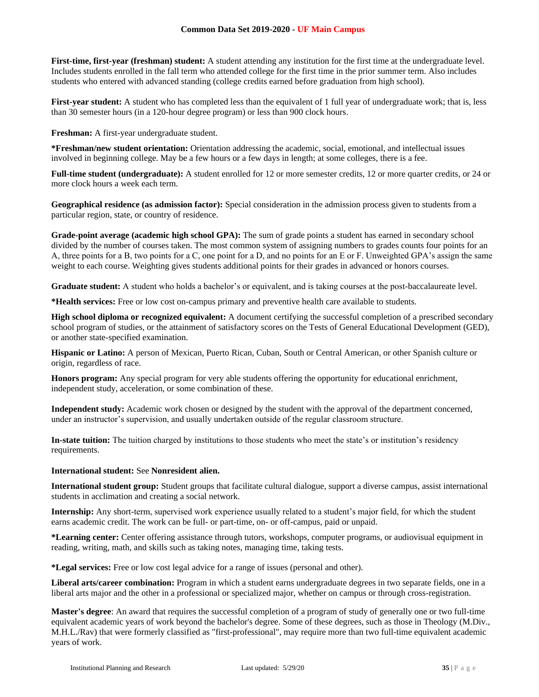**First-time, first-year (freshman) student:** A student attending any institution for the first time at the undergraduate level. Includes students enrolled in the fall term who attended college for the first time in the prior summer term. Also includes students who entered with advanced standing (college credits earned before graduation from high school).

**First-year student:** A student who has completed less than the equivalent of 1 full year of undergraduate work; that is, less than 30 semester hours (in a 120-hour degree program) or less than 900 clock hours.

**Freshman:** A first-year undergraduate student.

**\*Freshman/new student orientation:** Orientation addressing the academic, social, emotional, and intellectual issues involved in beginning college. May be a few hours or a few days in length; at some colleges, there is a fee.

**Full-time student (undergraduate):** A student enrolled for 12 or more semester credits, 12 or more quarter credits, or 24 or more clock hours a week each term.

**Geographical residence (as admission factor):** Special consideration in the admission process given to students from a particular region, state, or country of residence.

**Grade-point average (academic high school GPA):** The sum of grade points a student has earned in secondary school divided by the number of courses taken. The most common system of assigning numbers to grades counts four points for an A, three points for a B, two points for a C, one point for a D, and no points for an E or F. Unweighted GPA's assign the same weight to each course. Weighting gives students additional points for their grades in advanced or honors courses.

**Graduate student:** A student who holds a bachelor's or equivalent, and is taking courses at the post-baccalaureate level.

**\*Health services:** Free or low cost on-campus primary and preventive health care available to students.

**High school diploma or recognized equivalent:** A document certifying the successful completion of a prescribed secondary school program of studies, or the attainment of satisfactory scores on the Tests of General Educational Development (GED), or another state-specified examination.

**Hispanic or Latino:** A person of Mexican, Puerto Rican, Cuban, South or Central American, or other Spanish culture or origin, regardless of race.

**Honors program:** Any special program for very able students offering the opportunity for educational enrichment, independent study, acceleration, or some combination of these.

**Independent study:** Academic work chosen or designed by the student with the approval of the department concerned, under an instructor's supervision, and usually undertaken outside of the regular classroom structure.

**In-state tuition:** The tuition charged by institutions to those students who meet the state's or institution's residency requirements.

## **International student:** See **Nonresident alien.**

**International student group:** Student groups that facilitate cultural dialogue, support a diverse campus, assist international students in acclimation and creating a social network.

**Internship:** Any short-term, supervised work experience usually related to a student's major field, for which the student earns academic credit. The work can be full- or part-time, on- or off-campus, paid or unpaid.

**\*Learning center:** Center offering assistance through tutors, workshops, computer programs, or audiovisual equipment in reading, writing, math, and skills such as taking notes, managing time, taking tests.

**\*Legal services:** Free or low cost legal advice for a range of issues (personal and other).

**Liberal arts/career combination:** Program in which a student earns undergraduate degrees in two separate fields, one in a liberal arts major and the other in a professional or specialized major, whether on campus or through cross-registration.

**Master's degree**: An award that requires the successful completion of a program of study of generally one or two full-time equivalent academic years of work beyond the bachelor's degree. Some of these degrees, such as those in Theology (M.Div., M.H.L./Rav) that were formerly classified as "first-professional", may require more than two full-time equivalent academic years of work.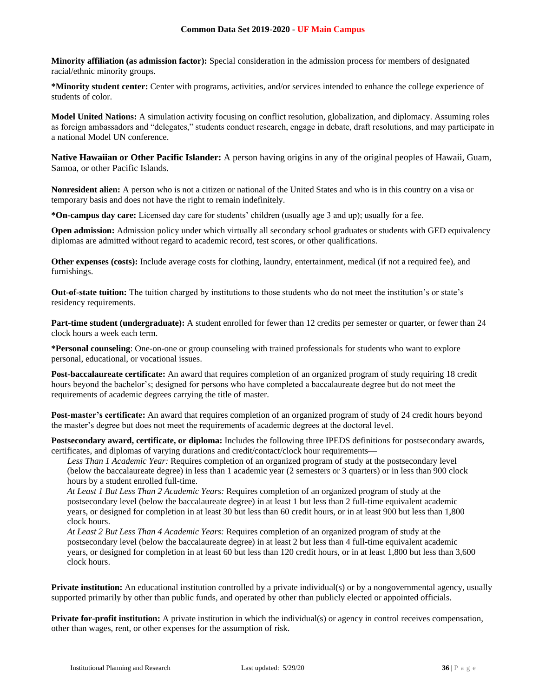**Minority affiliation (as admission factor):** Special consideration in the admission process for members of designated racial/ethnic minority groups.

**\*Minority student center:** Center with programs, activities, and/or services intended to enhance the college experience of students of color.

**Model United Nations:** A simulation activity focusing on conflict resolution, globalization, and diplomacy. Assuming roles as foreign ambassadors and "delegates," students conduct research, engage in debate, draft resolutions, and may participate in a national Model UN conference.

**Native Hawaiian or Other Pacific Islander:** A person having origins in any of the original peoples of Hawaii, Guam, Samoa, or other Pacific Islands.

**Nonresident alien:** A person who is not a citizen or national of the United States and who is in this country on a visa or temporary basis and does not have the right to remain indefinitely.

**\*On-campus day care:** Licensed day care for students' children (usually age 3 and up); usually for a fee.

**Open admission:** Admission policy under which virtually all secondary school graduates or students with GED equivalency diplomas are admitted without regard to academic record, test scores, or other qualifications.

**Other expenses (costs):** Include average costs for clothing, laundry, entertainment, medical (if not a required fee), and furnishings.

**Out-of-state tuition:** The tuition charged by institutions to those students who do not meet the institution's or state's residency requirements.

**Part-time student (undergraduate):** A student enrolled for fewer than 12 credits per semester or quarter, or fewer than 24 clock hours a week each term.

**\*Personal counseling**: One-on-one or group counseling with trained professionals for students who want to explore personal, educational, or vocational issues.

**Post-baccalaureate certificate:** An award that requires completion of an organized program of study requiring 18 credit hours beyond the bachelor's; designed for persons who have completed a baccalaureate degree but do not meet the requirements of academic degrees carrying the title of master.

**Post-master's certificate:** An award that requires completion of an organized program of study of 24 credit hours beyond the master's degree but does not meet the requirements of academic degrees at the doctoral level.

**Postsecondary award, certificate, or diploma:** Includes the following three IPEDS definitions for postsecondary awards, certificates, and diplomas of varying durations and credit/contact/clock hour requirements—

*Less Than 1 Academic Year:* Requires completion of an organized program of study at the postsecondary level (below the baccalaureate degree) in less than 1 academic year (2 semesters or 3 quarters) or in less than 900 clock hours by a student enrolled full-time.

*At Least 1 But Less Than 2 Academic Years:* Requires completion of an organized program of study at the postsecondary level (below the baccalaureate degree) in at least 1 but less than 2 full-time equivalent academic years, or designed for completion in at least 30 but less than 60 credit hours, or in at least 900 but less than 1,800 clock hours.

*At Least 2 But Less Than 4 Academic Years:* Requires completion of an organized program of study at the postsecondary level (below the baccalaureate degree) in at least 2 but less than 4 full-time equivalent academic years, or designed for completion in at least 60 but less than 120 credit hours, or in at least 1,800 but less than 3,600 clock hours.

**Private institution:** An educational institution controlled by a private individual(s) or by a nongovernmental agency, usually supported primarily by other than public funds, and operated by other than publicly elected or appointed officials.

**Private for-profit institution:** A private institution in which the individual(s) or agency in control receives compensation, other than wages, rent, or other expenses for the assumption of risk.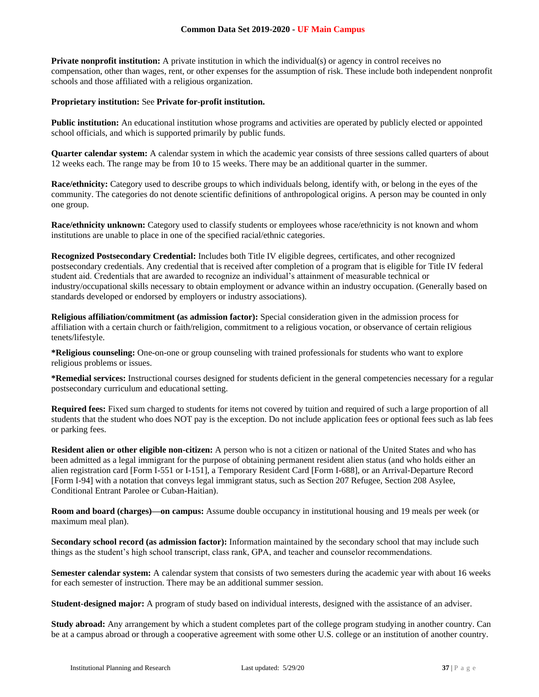**Private nonprofit institution:** A private institution in which the individual(s) or agency in control receives no compensation, other than wages, rent, or other expenses for the assumption of risk. These include both independent nonprofit schools and those affiliated with a religious organization.

### **Proprietary institution:** See **Private for-profit institution.**

**Public institution:** An educational institution whose programs and activities are operated by publicly elected or appointed school officials, and which is supported primarily by public funds.

**Quarter calendar system:** A calendar system in which the academic year consists of three sessions called quarters of about 12 weeks each. The range may be from 10 to 15 weeks. There may be an additional quarter in the summer.

**Race/ethnicity:** Category used to describe groups to which individuals belong, identify with, or belong in the eyes of the community. The categories do not denote scientific definitions of anthropological origins. A person may be counted in only one group.

**Race/ethnicity unknown:** Category used to classify students or employees whose race/ethnicity is not known and whom institutions are unable to place in one of the specified racial/ethnic categories.

**Recognized Postsecondary Credential:** Includes both Title IV eligible degrees, certificates, and other recognized postsecondary credentials. Any credential that is received after completion of a program that is eligible for Title IV federal student aid. Credentials that are awarded to recognize an individual's attainment of measurable technical or industry/occupational skills necessary to obtain employment or advance within an industry occupation. (Generally based on standards developed or endorsed by employers or industry associations).

**Religious affiliation/commitment (as admission factor):** Special consideration given in the admission process for affiliation with a certain church or faith/religion, commitment to a religious vocation, or observance of certain religious tenets/lifestyle.

**\*Religious counseling:** One-on-one or group counseling with trained professionals for students who want to explore religious problems or issues.

**\*Remedial services:** Instructional courses designed for students deficient in the general competencies necessary for a regular postsecondary curriculum and educational setting.

**Required fees:** Fixed sum charged to students for items not covered by tuition and required of such a large proportion of all students that the student who does NOT pay is the exception. Do not include application fees or optional fees such as lab fees or parking fees.

**Resident alien or other eligible non-citizen:** A person who is not a citizen or national of the United States and who has been admitted as a legal immigrant for the purpose of obtaining permanent resident alien status (and who holds either an alien registration card [Form I-551 or I-151], a Temporary Resident Card [Form I-688], or an Arrival-Departure Record [Form I-94] with a notation that conveys legal immigrant status, such as Section 207 Refugee, Section 208 Asylee, Conditional Entrant Parolee or Cuban-Haitian).

**Room and board (charges)—on campus:** Assume double occupancy in institutional housing and 19 meals per week (or maximum meal plan).

**Secondary school record (as admission factor):** Information maintained by the secondary school that may include such things as the student's high school transcript, class rank, GPA, and teacher and counselor recommendations.

**Semester calendar system:** A calendar system that consists of two semesters during the academic year with about 16 weeks for each semester of instruction. There may be an additional summer session.

**Student-designed major:** A program of study based on individual interests, designed with the assistance of an adviser.

**Study abroad:** Any arrangement by which a student completes part of the college program studying in another country. Can be at a campus abroad or through a cooperative agreement with some other U.S. college or an institution of another country.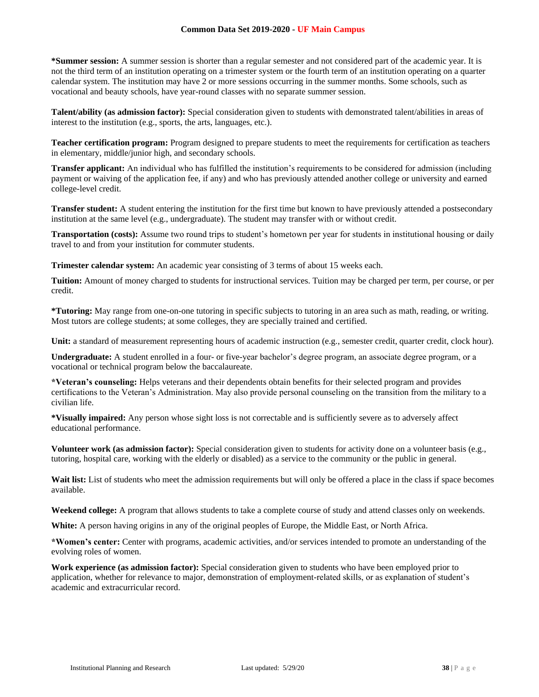**\*Summer session:** A summer session is shorter than a regular semester and not considered part of the academic year. It is not the third term of an institution operating on a trimester system or the fourth term of an institution operating on a quarter calendar system. The institution may have 2 or more sessions occurring in the summer months. Some schools, such as vocational and beauty schools, have year-round classes with no separate summer session.

**Talent/ability (as admission factor):** Special consideration given to students with demonstrated talent/abilities in areas of interest to the institution (e.g., sports, the arts, languages, etc.).

**Teacher certification program:** Program designed to prepare students to meet the requirements for certification as teachers in elementary, middle/junior high, and secondary schools.

**Transfer applicant:** An individual who has fulfilled the institution's requirements to be considered for admission (including payment or waiving of the application fee, if any) and who has previously attended another college or university and earned college-level credit.

**Transfer student:** A student entering the institution for the first time but known to have previously attended a postsecondary institution at the same level (e.g., undergraduate). The student may transfer with or without credit.

**Transportation (costs):** Assume two round trips to student's hometown per year for students in institutional housing or daily travel to and from your institution for commuter students.

**Trimester calendar system:** An academic year consisting of 3 terms of about 15 weeks each.

**Tuition:** Amount of money charged to students for instructional services. Tuition may be charged per term, per course, or per credit.

**\*Tutoring:** May range from one-on-one tutoring in specific subjects to tutoring in an area such as math, reading, or writing. Most tutors are college students; at some colleges, they are specially trained and certified.

**Unit:** a standard of measurement representing hours of academic instruction (e.g., semester credit, quarter credit, clock hour).

**Undergraduate:** A student enrolled in a four- or five-year bachelor's degree program, an associate degree program, or a vocational or technical program below the baccalaureate.

**\*Veteran's counseling:** Helps veterans and their dependents obtain benefits for their selected program and provides certifications to the Veteran's Administration. May also provide personal counseling on the transition from the military to a civilian life.

**\*Visually impaired:** Any person whose sight loss is not correctable and is sufficiently severe as to adversely affect educational performance.

**Volunteer work (as admission factor):** Special consideration given to students for activity done on a volunteer basis (e.g., tutoring, hospital care, working with the elderly or disabled) as a service to the community or the public in general.

Wait list: List of students who meet the admission requirements but will only be offered a place in the class if space becomes available.

**Weekend college:** A program that allows students to take a complete course of study and attend classes only on weekends.

**White:** A person having origins in any of the original peoples of Europe, the Middle East, or North Africa.

**\*Women's center:** Center with programs, academic activities, and/or services intended to promote an understanding of the evolving roles of women.

**Work experience (as admission factor):** Special consideration given to students who have been employed prior to application, whether for relevance to major, demonstration of employment-related skills, or as explanation of student's academic and extracurricular record.